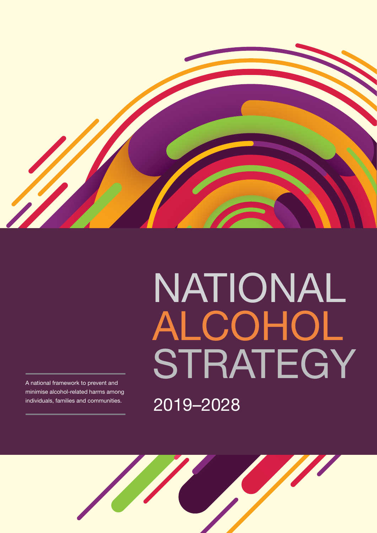

# NATIONAL **ALCOHOL** STRATEGY 2019–2028

A national framework to prevent and minimise alcohol-related harms among individuals, families and communities.

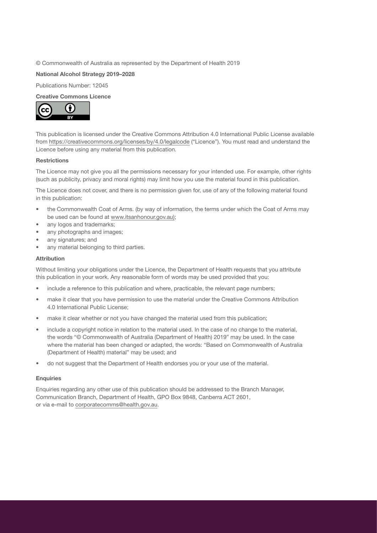### © Commonwealth of Australia as represented by the Department of Health 2019

#### **National Alcohol Strategy 2019–2028**

Publications Number: 12045

### **Creative Commons Licence**



This publication is licensed under the Creative Commons Attribution 4.0 International Public License available from <https://creativecommons.org/licenses/by/4.0/legalcode> ("Licence"). You must read and understand the Licence before using any material from this publication.

#### **Restrictions**

The Licence may not give you all the permissions necessary for your intended use. For example, other rights (such as publicity, privacy and moral rights) may limit how you use the material found in this publication.

The Licence does not cover, and there is no permission given for, use of any of the following material found in this publication:

- the Commonwealth Coat of Arms. (by way of information, the terms under which the Coat of Arms may be used can be found at [www.itsanhonour.gov.au](http://www.itsanhonour.gov.au));
- any logos and trademarks;
- any photographs and images;
- any signatures; and
- any material belonging to third parties.

#### **Attribution**

Without limiting your obligations under the Licence, the Department of Health requests that you attribute this publication in your work. Any reasonable form of words may be used provided that you:

- include a reference to this publication and where, practicable, the relevant page numbers;
- make it clear that you have permission to use the material under the Creative Commons Attribution 4.0 International Public License;
- make it clear whether or not you have changed the material used from this publication;
- include a copyright notice in relation to the material used. In the case of no change to the material, the words "© Commonwealth of Australia (Department of Health) 2019" may be used. In the case where the material has been changed or adapted, the words: "Based on Commonwealth of Australia (Department of Health) material" may be used; and
- do not suggest that the Department of Health endorses you or your use of the material.

#### **Enquiries**

Enquiries regarding any other use of this publication should be addressed to the Branch Manager, Communication Branch, Department of Health, GPO Box 9848, Canberra ACT 2601, or via e-mail to [corporatecomms@health.gov.au.](mailto:corporatecomms%40health.gov.au?subject=)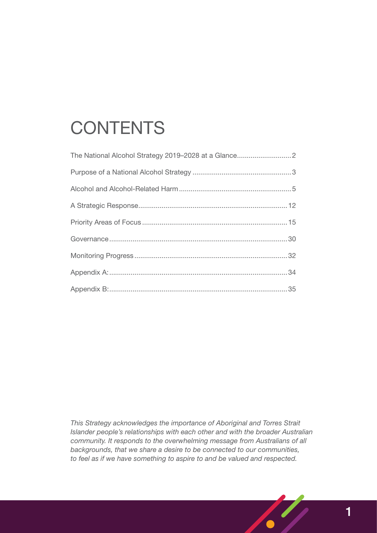# **CONTENTS**

*This Strategy acknowledges the importance of Aboriginal and Torres Strait Islander people's relationships with each other and with the broader Australian community. It responds to the overwhelming message from Australians of all backgrounds, that we share a desire to be connected to our communities, to feel as if we have something to aspire to and be valued and respected.*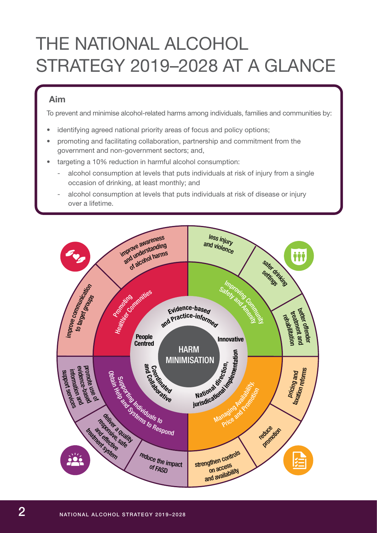# <span id="page-3-0"></span>THE NATIONAL ALCOHOL STRATEGY 2019–2028 AT A GLANCE

## **Aim**

To prevent and minimise alcohol-related harms among individuals, families and communities by:

- identifying agreed national priority areas of focus and policy options;
- promoting and facilitating collaboration, partnership and commitment from the government and non-government sectors; and,
- targeting a 10% reduction in harmful alcohol consumption:
	- alcohol consumption at levels that puts individuals at risk of injury from a single occasion of drinking, at least monthly; and
	- alcohol consumption at levels that puts individuals at risk of disease or injury over a lifetime.

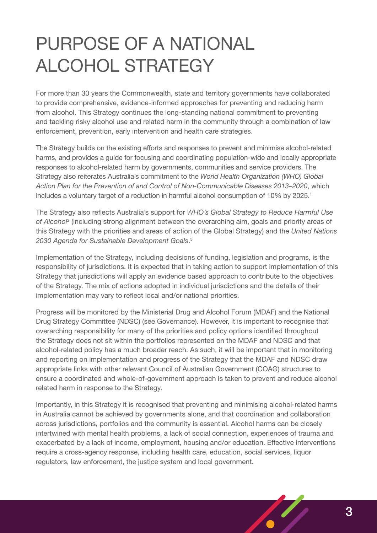# <span id="page-4-0"></span>PURPOSE OF A NATIONAL ALCOHOL STRATEGY

For more than 30 years the Commonwealth, state and territory governments have collaborated to provide comprehensive, evidence-informed approaches for preventing and reducing harm from alcohol. This Strategy continues the long-standing national commitment to preventing and tackling risky alcohol use and related harm in the community through a combination of law enforcement, prevention, early intervention and health care strategies.

The Strategy builds on the existing efforts and responses to prevent and minimise alcohol-related harms, and provides a guide for focusing and coordinating population-wide and locally appropriate responses to alcohol-related harm by governments, communities and service providers. The Strategy also reiterates Australia's commitment to the *World Health Organization (WHO) Global Action Plan for the Prevention of and Control of Non-Communicable Diseases 2013–2020*, which includes a voluntary target of a reduction in harmful alcohol consumption of 10% by 2025.<sup>1</sup>

The Strategy also reflects Australia's support for *WHO's Global Strategy to Reduce Harmful Use*  of Alcohol<sup>2</sup> (including strong alignment between the overarching aim, goals and priority areas of this Strategy with the priorities and areas of action of the Global Strategy) and the *United Nations 2030 Agenda for Sustainable Development Goals*. 3

Implementation of the Strategy, including decisions of funding, legislation and programs, is the responsibility of jurisdictions. It is expected that in taking action to support implementation of this Strategy that jurisdictions will apply an evidence based approach to contribute to the objectives of the Strategy. The mix of actions adopted in individual jurisdictions and the details of their implementation may vary to reflect local and/or national priorities.

Progress will be monitored by the Ministerial Drug and Alcohol Forum (MDAF) and the National Drug Strategy Committee (NDSC) (see Governance). However, it is important to recognise that overarching responsibility for many of the priorities and policy options identified throughout the Strategy does not sit within the portfolios represented on the MDAF and NDSC and that alcohol-related policy has a much broader reach. As such, it will be important that in monitoring and reporting on implementation and progress of the Strategy that the MDAF and NDSC draw appropriate links with other relevant Council of Australian Government (COAG) structures to ensure a coordinated and whole-of-government approach is taken to prevent and reduce alcohol related harm in response to the Strategy.

Importantly, in this Strategy it is recognised that preventing and minimising alcohol-related harms in Australia cannot be achieved by governments alone, and that coordination and collaboration across jurisdictions, portfolios and the community is essential. Alcohol harms can be closely intertwined with mental health problems, a lack of social connection, experiences of trauma and exacerbated by a lack of income, employment, housing and/or education. Effective interventions require a cross-agency response, including health care, education, social services, liquor regulators, law enforcement, the justice system and local government.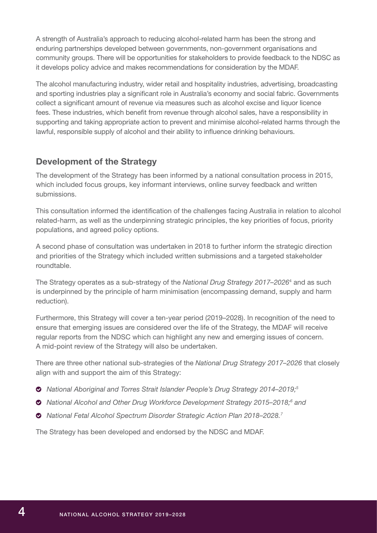A strength of Australia's approach to reducing alcohol-related harm has been the strong and enduring partnerships developed between governments, non-government organisations and community groups. There will be opportunities for stakeholders to provide feedback to the NDSC as it develops policy advice and makes recommendations for consideration by the MDAF.

The alcohol manufacturing industry, wider retail and hospitality industries, advertising, broadcasting and sporting industries play a significant role in Australia's economy and social fabric. Governments collect a significant amount of revenue via measures such as alcohol excise and liquor licence fees. These industries, which benefit from revenue through alcohol sales, have a responsibility in supporting and taking appropriate action to prevent and minimise alcohol-related harms through the lawful, responsible supply of alcohol and their ability to influence drinking behaviours.

## **Development of the Strategy**

The development of the Strategy has been informed by a national consultation process in 2015, which included focus groups, key informant interviews, online survey feedback and written submissions.

This consultation informed the identification of the challenges facing Australia in relation to alcohol related-harm, as well as the underpinning strategic principles, the key priorities of focus, priority populations, and agreed policy options.

A second phase of consultation was undertaken in 2018 to further inform the strategic direction and priorities of the Strategy which included written submissions and a targeted stakeholder roundtable.

The Strategy operates as a sub-strategy of the *National Drug Strategy 2017–2026*<sup>4</sup> and as such is underpinned by the principle of harm minimisation (encompassing demand, supply and harm reduction).

Furthermore, this Strategy will cover a ten-year period (2019–2028). In recognition of the need to ensure that emerging issues are considered over the life of the Strategy, the MDAF will receive regular reports from the NDSC which can highlight any new and emerging issues of concern. A mid-point review of the Strategy will also be undertaken.

There are three other national sub-strategies of the *National Drug Strategy 2017–2026* that closely align with and support the aim of this Strategy:

- *National Aboriginal and Torres Strait Islander People's Drug Strategy 2014–2019;5*
- ◆ National Alcohol and Other Drug Workforce Development Strategy 2015–2018;<sup>6</sup> and
- *National Fetal Alcohol Spectrum Disorder Strategic Action Plan 2018–2028.7*

The Strategy has been developed and endorsed by the NDSC and MDAF.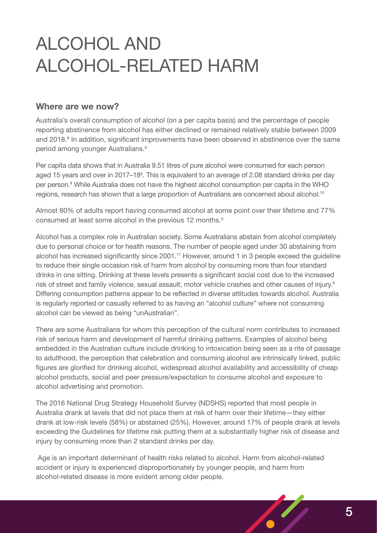# <span id="page-6-0"></span>ALCOHOL AND ALCOHOL-RELATED HARM

## **Where are we now?**

Australia's overall consumption of alcohol (on a per capita basis) and the percentage of people reporting abstinence from alcohol has either declined or remained relatively stable between 2009 and 2018.<sup>8</sup> In addition, significant improvements have been observed in abstinence over the same period among younger Australians.9

Per capita data shows that in Australia 9.51 litres of pure alcohol were consumed for each person aged 15 years and over in 2017–18<sup>8</sup>. This is equivalent to an average of 2.08 standard drinks per day per person.<sup>8</sup> While Australia does not have the highest alcohol consumption per capita in the WHO regions, research has shown that a large proportion of Australians are concerned about alcohol.<sup>10</sup>

Almost 80% of adults report having consumed alcohol at some point over their lifetime and 77% consumed at least some alcohol in the previous 12 months.9

Alcohol has a complex role in Australian society. Some Australians abstain from alcohol completely due to personal choice or for health reasons. The number of people aged under 30 abstaining from alcohol has increased significantly since 2001.<sup>11</sup> However, around 1 in 3 people exceed the guideline to reduce their single occasion risk of harm from alcohol by consuming more than four standard drinks in one sitting. Drinking at these levels presents a significant social cost due to the increased risk of street and family violence, sexual assault, motor vehicle crashes and other causes of injury.<sup>9</sup> Differing consumption patterns appear to be reflected in diverse attitudes towards alcohol. Australia is regularly reported or casually referred to as having an "alcohol culture" where not consuming alcohol can be viewed as being "unAustralian".

There are some Australians for whom this perception of the cultural norm contributes to increased risk of serious harm and development of harmful drinking patterns. Examples of alcohol being embedded in the Australian culture include drinking to intoxication being seen as a rite of passage to adulthood, the perception that celebration and consuming alcohol are intrinsically linked, public figures are glorified for drinking alcohol, widespread alcohol availability and accessibility of cheap alcohol products, social and peer pressure/expectation to consume alcohol and exposure to alcohol advertising and promotion.

The 2016 National Drug Strategy Household Survey (NDSHS) reported that most people in Australia drank at levels that did not place them at risk of harm over their lifetime—they either drank at low-risk levels (58%) or abstained (25%). However, around 17% of people drank at levels exceeding the Guidelines for lifetime risk putting them at a substantially higher risk of disease and injury by consuming more than 2 standard drinks per day.

 Age is an important determinant of health risks related to alcohol. Harm from alcohol-related accident or injury is experienced disproportionately by younger people, and harm from alcohol-related disease is more evident among older people.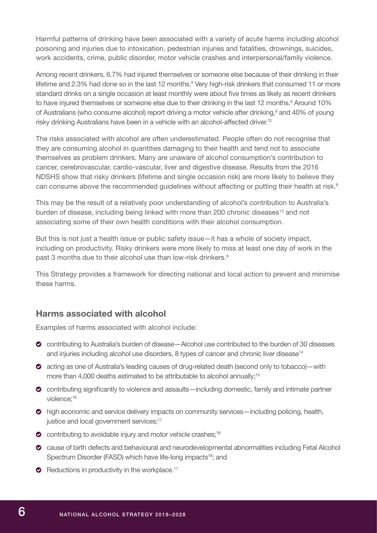Harmful patterns of drinking have been associated with a variety of acute harms including alcohol poisoning and injuries due to intoxication, pedestrian injuries and fatalities, drownings, suicides, work accidents, crime, public disorder, motor vehicle crashes and interpersonal/family violence.

Among recent drinkers, 6.7% had injured themselves or someone else because of their drinking in their lifetime and 2.3% had done so in the last 12 months.<sup>9</sup> Very high-risk drinkers that consumed 11 or more standard drinks on a single occasion at least monthly were about five times as likely as recent drinkers to have injured themselves or someone else due to their drinking in the last 12 months.<sup>9</sup> Around 10% of Australians (who consume alcohol) report driving a motor vehicle after drinking,<sup>9</sup> and 40% of young risky drinking Australians have been in a vehicle with an alcohol-affected driver.<sup>12</sup>

The risks associated with alcohol are often underestimated. People often do not recognise that they are consuming alcohol in quantities damaging to their health and tend not to associate themselves as problem drinkers. Many are unaware of alcohol consumption's contribution to cancer, cerebrovascular, cardio-vascular, liver and digestive disease. Results from the 2016 NDSHS show that risky drinkers (lifetime and single occasion risk) are more likely to believe they can consume above the recommended guidelines without affecting or putting their health at risk.<sup>9</sup>

This may be the result of a relatively poor understanding of alcohol's contribution to Australia's burden of disease, including being linked with more than 200 chronic diseases<sup>13</sup> and not associating some of their own health conditions with their alcohol consumption.

But this is not just a health issue or public safety issue—it has a whole of society impact, including on productivity. Risky drinkers were more likely to miss at least one day of work in the past 3 months due to their alcohol use than low-risk drinkers.<sup>9</sup>

This Strategy provides a framework for directing national and local action to prevent and minimise these harms.

## **Harms associated with alcohol**

Examples of harms associated with alcohol include:

- contributing to Australia's burden of disease—Alcohol use contributed to the burden of 30 diseases and injuries including alcohol use disorders, 8 types of cancer and chronic liver disease<sup>14</sup>
- acting as one of Australia's leading causes of drug-related death (second only to tobacco)—with more than 4,000 deaths estimated to be attributable to alcohol annually;<sup>15</sup>
- contributing significantly to violence and assaults—including domestic, family and intimate partner violence:<sup>16</sup>
- high economic and service delivery impacts on community services—including policing, health, justice and local government services;<sup>17</sup>
- $\bullet$  contributing to avoidable injury and motor vehicle crashes:<sup>18</sup>
- cause of birth defects and behavioural and neurodevelopmental abnormalities including Fetal Alcohol Spectrum Disorder (FASD) which have life-long impacts<sup>19</sup>; and
- $\bullet$  Reductions in productivity in the workplace.<sup>17</sup>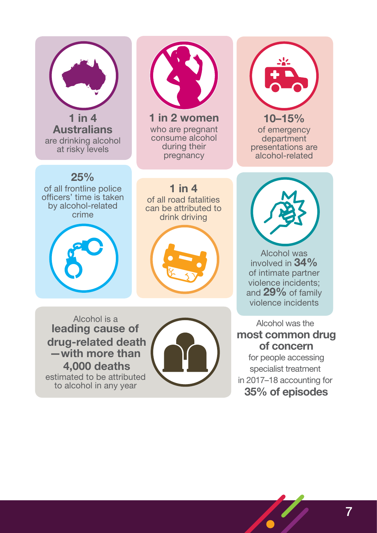

to alcohol in any year

in 2017–18 accounting for **35% of episodes**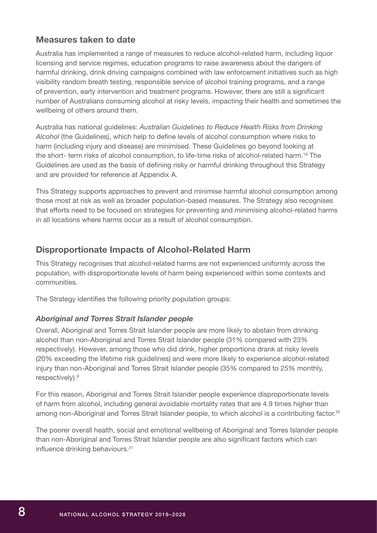## **Measures taken to date**

Australia has implemented a range of measures to reduce alcohol-related harm, including liquor licensing and service regimes, education programs to raise awareness about the dangers of harmful drinking, drink driving campaigns combined with law enforcement initiatives such as high visibility random breath testing, responsible service of alcohol training programs, and a range of prevention, early intervention and treatment programs. However, there are still a significant number of Australians consuming alcohol at risky levels, impacting their health and sometimes the wellbeing of others around them.

Australia has national guidelines: *Australian Guidelines to Reduce Health Risks from Drinking Alcohol* (the Guidelines), which help to define levels of alcohol consumption where risks to harm (including injury and disease) are minimised. These Guidelines go beyond looking at the short- term risks of alcohol consumption, to life-time risks of alcohol-related harm.<sup>19</sup> The Guidelines are used as the basis of defining risky or harmful drinking throughout this Strategy and are provided for reference at Appendix A.

This Strategy supports approaches to prevent and minimise harmful alcohol consumption among those most at risk as well as broader population-based measures. The Strategy also recognises that efforts need to be focused on strategies for preventing and minimising alcohol-related harms in all locations where harms occur as a result of alcohol consumption.

## **Disproportionate Impacts of Alcohol-Related Harm**

This Strategy recognises that alcohol-related harms are not experienced uniformly across the population, with disproportionate levels of harm being experienced within some contexts and communities.

The Strategy identifies the following priority population groups:

### *Aboriginal and Torres Strait Islander people*

Overall, Aboriginal and Torres Strait Islander people are more likely to abstain from drinking alcohol than non-Aboriginal and Torres Strait Islander people (31% compared with 23% respectively). However, among those who did drink, higher proportions drank at risky levels (20% exceeding the lifetime risk guidelines) and were more likely to experience alcohol-related injury than non-Aboriginal and Torres Strait Islander people (35% compared to 25% monthly, respectively).9

For this reason, Aboriginal and Torres Strait Islander people experience disproportionate levels of harm from alcohol, including general avoidable mortality rates that are 4.9 times higher than among non-Aboriginal and Torres Strait Islander people, to which alcohol is a contributing factor.<sup>20</sup>

The poorer overall health, social and emotional wellbeing of Aboriginal and Torres Islander people than non-Aboriginal and Torres Strait Islander people are also significant factors which can influence drinking behaviours.<sup>21</sup>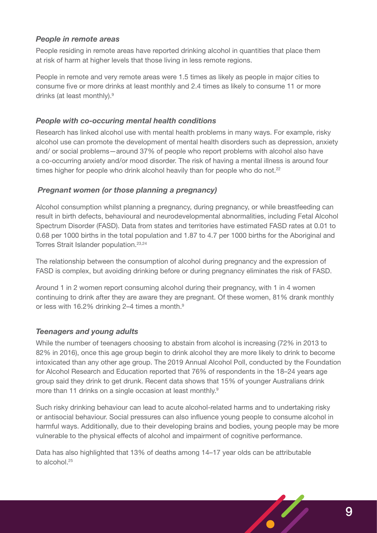## *People in remote areas*

People residing in remote areas have reported drinking alcohol in quantities that place them at risk of harm at higher levels that those living in less remote regions.

People in remote and very remote areas were 1.5 times as likely as people in major cities to consume five or more drinks at least monthly and 2.4 times as likely to consume 11 or more drinks (at least monthly).9

## *People with co-occuring mental health conditions*

Research has linked alcohol use with mental health problems in many ways. For example, risky alcohol use can promote the development of mental health disorders such as depression, anxiety and/ or social problems—around 37% of people who report problems with alcohol also have a co-occurring anxiety and/or mood disorder. The risk of having a mental illness is around four times higher for people who drink alcohol heavily than for people who do not.<sup>22</sup>

## *Pregnant women (or those planning a pregnancy)*

Alcohol consumption whilst planning a pregnancy, during pregnancy, or while breastfeeding can result in birth defects, behavioural and neurodevelopmental abnormalities, including Fetal Alcohol Spectrum Disorder (FASD). Data from states and territories have estimated FASD rates at 0.01 to 0.68 per 1000 births in the total population and 1.87 to 4.7 per 1000 births for the Aboriginal and Torres Strait Islander population.<sup>23,24</sup>

The relationship between the consumption of alcohol during pregnancy and the expression of FASD is complex, but avoiding drinking before or during pregnancy eliminates the risk of FASD.

Around 1 in 2 women report consuming alcohol during their pregnancy, with 1 in 4 women continuing to drink after they are aware they are pregnant. Of these women, 81% drank monthly or less with 16.2% drinking 2–4 times a month.<sup>9</sup>

### *Teenagers and young adults*

While the number of teenagers choosing to abstain from alcohol is increasing (72% in 2013 to 82% in 2016), once this age group begin to drink alcohol they are more likely to drink to become intoxicated than any other age group. The 2019 Annual Alcohol Poll, conducted by the Foundation for Alcohol Research and Education reported that 76% of respondents in the 18–24 years age group said they drink to get drunk. Recent data shows that 15% of younger Australians drink more than 11 drinks on a single occasion at least monthly.<sup>9</sup>

Such risky drinking behaviour can lead to acute alcohol-related harms and to undertaking risky or antisocial behaviour. Social pressures can also influence young people to consume alcohol in harmful ways. Additionally, due to their developing brains and bodies, young people may be more vulnerable to the physical effects of alcohol and impairment of cognitive performance.

Data has also highlighted that 13% of deaths among 14–17 year olds can be attributable to alcohol.<sup>25</sup>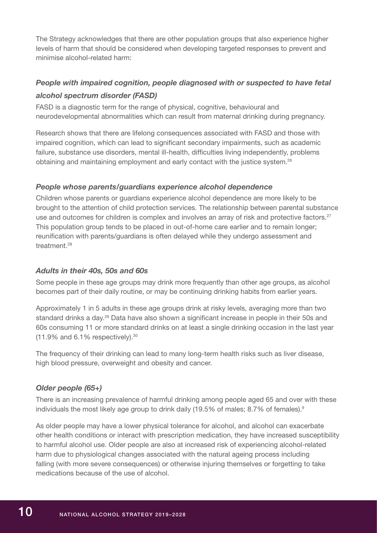The Strategy acknowledges that there are other population groups that also experience higher levels of harm that should be considered when developing targeted responses to prevent and minimise alcohol-related harm:

## *People with impaired cognition, people diagnosed with or suspected to have fetal alcohol spectrum disorder (FASD)*

FASD is a diagnostic term for the range of physical, cognitive, behavioural and neurodevelopmental abnormalities which can result from maternal drinking during pregnancy.

Research shows that there are lifelong consequences associated with FASD and those with impaired cognition, which can lead to significant secondary impairments, such as academic failure, substance use disorders, mental ill-health, difficulties living independently, problems obtaining and maintaining employment and early contact with the justice system.<sup>26</sup>

## *People whose parents/guardians experience alcohol dependence*

Children whose parents or guardians experience alcohol dependence are more likely to be brought to the attention of child protection services. The relationship between parental substance use and outcomes for children is complex and involves an array of risk and protective factors.<sup>27</sup> This population group tends to be placed in out-of-home care earlier and to remain longer; reunification with parents/guardians is often delayed while they undergo assessment and treatment.<sup>28</sup>

## *Adults in their 40s, 50s and 60s*

Some people in these age groups may drink more frequently than other age groups, as alcohol becomes part of their daily routine, or may be continuing drinking habits from earlier years.

Approximately 1 in 5 adults in these age groups drink at risky levels, averaging more than two standard drinks a day.<sup>29</sup> Data have also shown a significant increase in people in their 50s and 60s consuming 11 or more standard drinks on at least a single drinking occasion in the last year  $(11.9\%$  and 6.1% respectively).  $30$ 

The frequency of their drinking can lead to many long-term health risks such as liver disease, high blood pressure, overweight and obesity and cancer.

## *Older people (65+)*

There is an increasing prevalence of harmful drinking among people aged 65 and over with these individuals the most likely age group to drink daily (19.5% of males; 8.7% of females).<sup>9</sup>

As older people may have a lower physical tolerance for alcohol, and alcohol can exacerbate other health conditions or interact with prescription medication, they have increased susceptibility to harmful alcohol use. Older people are also at increased risk of experiencing alcohol-related harm due to physiological changes associated with the natural ageing process including falling (with more severe consequences) or otherwise injuring themselves or forgetting to take medications because of the use of alcohol.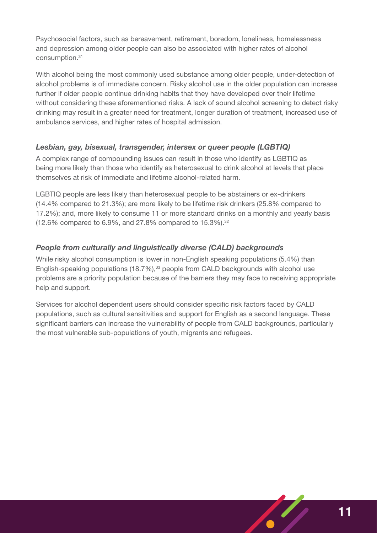Psychosocial factors, such as bereavement, retirement, boredom, loneliness, homelessness and depression among older people can also be associated with higher rates of alcohol consumption.31

With alcohol being the most commonly used substance among older people, under-detection of alcohol problems is of immediate concern. Risky alcohol use in the older population can increase further if older people continue drinking habits that they have developed over their lifetime without considering these aforementioned risks. A lack of sound alcohol screening to detect risky drinking may result in a greater need for treatment, longer duration of treatment, increased use of ambulance services, and higher rates of hospital admission.

## *Lesbian, gay, bisexual, transgender, intersex or queer people (LGBTIQ)*

A complex range of compounding issues can result in those who identify as LGBTIQ as being more likely than those who identify as heterosexual to drink alcohol at levels that place themselves at risk of immediate and lifetime alcohol-related harm.

LGBTIQ people are less likely than heterosexual people to be abstainers or ex-drinkers (14.4% compared to 21.3%); are more likely to be lifetime risk drinkers (25.8% compared to 17.2%); and, more likely to consume 11 or more standard drinks on a monthly and yearly basis  $(12.6\%$  compared to 6.9%, and 27.8% compared to 15.3%).<sup>32</sup>

## *People from culturally and linguistically diverse (CALD) backgrounds*

While risky alcohol consumption is lower in non-English speaking populations (5.4%) than English-speaking populations (18.7%),<sup>33</sup> people from CALD backgrounds with alcohol use problems are a priority population because of the barriers they may face to receiving appropriate help and support.

Services for alcohol dependent users should consider specific risk factors faced by CALD populations, such as cultural sensitivities and support for English as a second language. These significant barriers can increase the vulnerability of people from CALD backgrounds, particularly the most vulnerable sub-populations of youth, migrants and refugees.

 $\sqrt{\frac{2}{\pi}}$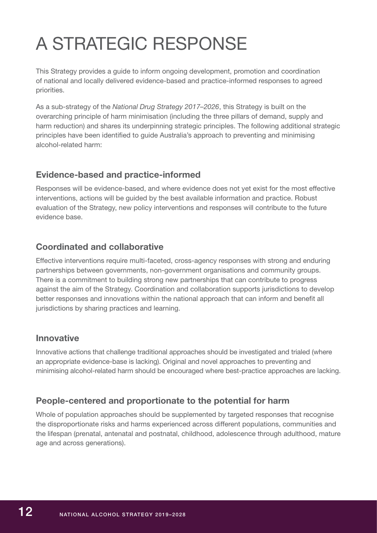# <span id="page-13-0"></span>A STRATEGIC RESPONSE

This Strategy provides a guide to inform ongoing development, promotion and coordination of national and locally delivered evidence-based and practice-informed responses to agreed priorities.

As a sub-strategy of the *National Drug Strategy 2017–2026*, this Strategy is built on the overarching principle of harm minimisation (including the three pillars of demand, supply and harm reduction) and shares its underpinning strategic principles. The following additional strategic principles have been identified to guide Australia's approach to preventing and minimising alcohol-related harm:

## **Evidence-based and practice-informed**

Responses will be evidence-based, and where evidence does not yet exist for the most effective interventions, actions will be guided by the best available information and practice. Robust evaluation of the Strategy, new policy interventions and responses will contribute to the future evidence base.

## **Coordinated and collaborative**

Effective interventions require multi-faceted, cross-agency responses with strong and enduring partnerships between governments, non-government organisations and community groups. There is a commitment to building strong new partnerships that can contribute to progress against the aim of the Strategy. Coordination and collaboration supports jurisdictions to develop better responses and innovations within the national approach that can inform and benefit all jurisdictions by sharing practices and learning.

## **Innovative**

Innovative actions that challenge traditional approaches should be investigated and trialed (where an appropriate evidence-base is lacking). Original and novel approaches to preventing and minimising alcohol-related harm should be encouraged where best-practice approaches are lacking.

## **People-centered and proportionate to the potential for harm**

Whole of population approaches should be supplemented by targeted responses that recognise the disproportionate risks and harms experienced across different populations, communities and the lifespan (prenatal, antenatal and postnatal, childhood, adolescence through adulthood, mature age and across generations).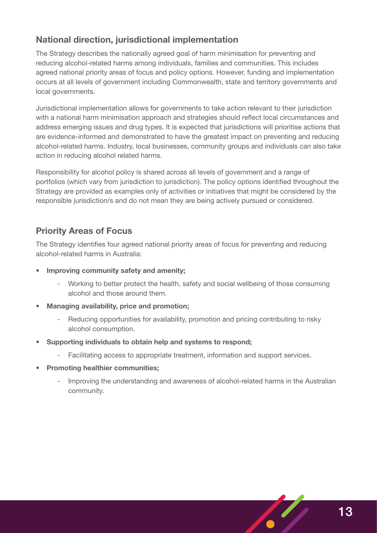## **National direction, jurisdictional implementation**

The Strategy describes the nationally agreed goal of harm minimisation for preventing and reducing alcohol-related harms among individuals, families and communities. This includes agreed national priority areas of focus and policy options. However, funding and implementation occurs at all levels of government including Commonwealth, state and territory governments and local governments.

Jurisdictional implementation allows for governments to take action relevant to their jurisdiction with a national harm minimisation approach and strategies should reflect local circumstances and address emerging issues and drug types. It is expected that jurisdictions will prioritise actions that are evidence-informed and demonstrated to have the greatest impact on preventing and reducing alcohol-related harms. Industry, local businesses, community groups and individuals can also take action in reducing alcohol related harms.

Responsibility for alcohol policy is shared across all levels of government and a range of portfolios (which vary from jurisdiction to jurisdiction). The policy options identified throughout the Strategy are provided as examples only of activities or initiatives that might be considered by the responsible jurisdiction/s and do not mean they are being actively pursued or considered.

## **Priority Areas of Focus**

The Strategy identifies four agreed national priority areas of focus for preventing and reducing alcohol-related harms in Australia:

- **Improving community safety and amenity;**
	- Working to better protect the health, safety and social wellbeing of those consuming alcohol and those around them.
- **• Managing availability, price and promotion;**
	- Reducing opportunities for availability, promotion and pricing contributing to risky alcohol consumption.
- **• Supporting individuals to obtain help and systems to respond;** 
	- Facilitating access to appropriate treatment, information and support services.
- **• Promoting healthier communities;**
	- Improving the understanding and awareness of alcohol-related harms in the Australian community.

 $\sqrt{\frac{2}{\pi}}$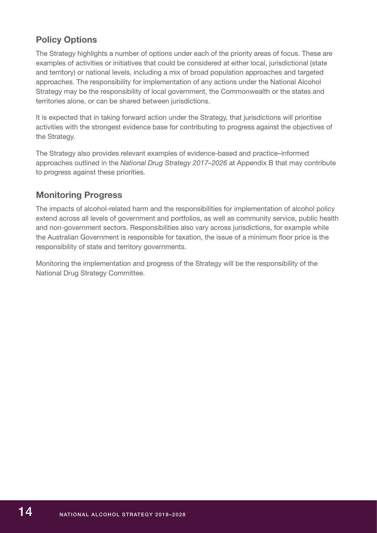## **Policy Options**

The Strategy highlights a number of options under each of the priority areas of focus. These are examples of activities or initiatives that could be considered at either local, jurisdictional (state and territory) or national levels, including a mix of broad population approaches and targeted approaches. The responsibility for implementation of any actions under the National Alcohol Strategy may be the responsibility of local government, the Commonwealth or the states and territories alone, or can be shared between jurisdictions.

It is expected that in taking forward action under the Strategy, that jurisdictions will prioritise activities with the strongest evidence base for contributing to progress against the objectives of the Strategy.

The Strategy also provides relevant examples of evidence-based and practice–informed approaches outlined in the *National Drug Strategy 2017–2026* at Appendix B that may contribute to progress against these priorities.

## **Monitoring Progress**

The impacts of alcohol-related harm and the responsibilities for implementation of alcohol policy extend across all levels of government and portfolios, as well as community service, public health and non-government sectors. Responsibilities also vary across jurisdictions, for example while the Australian Government is responsible for taxation, the issue of a minimum floor price is the responsibility of state and territory governments.

Monitoring the implementation and progress of the Strategy will be the responsibility of the National Drug Strategy Committee.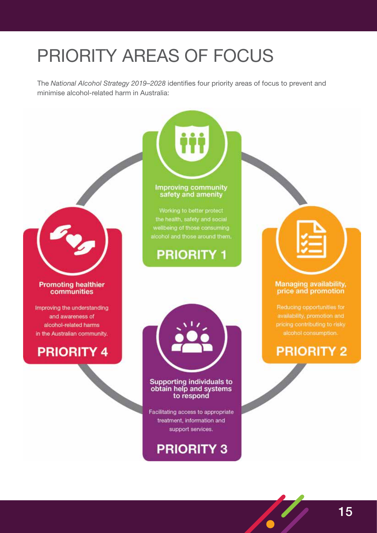# <span id="page-16-0"></span>PRIORITY AREAS OF FOCUS

The *National Alcohol Strategy 2019–2028* identifies four priority areas of focus to prevent and minimise alcohol-related harm in Australia:

Improving community<br>safety and amenity

Working to better protect the health, safety and social wellbeing of those consuming alcohol and those around them.

**PRIORITY 1** 



### **Promoting healthier** communities

Improving the understanding and awareness of alcohol-related harms in the Australian community.



### **Supporting individuals to** obtain help and systems to respond

Facilitating access to appropriate treatment, information and support services.

## **PRIORITY 3**



## Managing availability,<br>price and promotion

Reducing opportunities for availability, promotion and pricing contributing to risky alcohol consumption.

## **PRIORITY 2**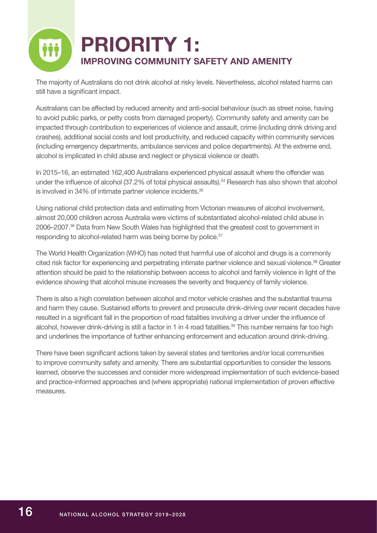

The majority of Australians do not drink alcohol at risky levels. Nevertheless, alcohol related harms can still have a significant impact.

Australians can be affected by reduced amenity and anti-social behaviour (such as street noise, having to avoid public parks, or petty costs from damaged property). Community safety and amenity can be impacted through contribution to experiences of violence and assault, crime (including drink driving and crashes), additional social costs and lost productivity, and reduced capacity within community services (including emergency departments, ambulance services and police departments). At the extreme end, alcohol is implicated in child abuse and neglect or physical violence or death.

In 2015–16, an estimated 162,400 Australians experienced physical assault where the offender was under the influence of alcohol (37.2% of total physical assaults).<sup>34</sup> Research has also shown that alcohol is involved in 34% of intimate partner violence incidents.<sup>35</sup>

Using national child protection data and estimating from Victorian measures of alcohol involvement, almost 20,000 children across Australia were victims of substantiated alcohol-related child abuse in 2006–2007.36 Data from New South Wales has highlighted that the greatest cost to government in responding to alcohol-related harm was being borne by police.<sup>37</sup>

The World Health Organization (WHO) has noted that harmful use of alcohol and drugs is a commonly cited risk factor for experiencing and perpetrating intimate partner violence and sexual violence.38 Greater attention should be paid to the relationship between access to alcohol and family violence in light of the evidence showing that alcohol misuse increases the severity and frequency of family violence.

There is also a high correlation between alcohol and motor vehicle crashes and the substantial trauma and harm they cause. Sustained efforts to prevent and prosecute drink-driving over recent decades have resulted in a significant fall in the proportion of road fatalities involving a driver under the influence of alcohol, however drink-driving is still a factor in 1 in 4 road fatalities.<sup>39</sup> This number remains far too high and underlines the importance of further enhancing enforcement and education around drink-driving.

There have been significant actions taken by several states and territories and/or local communities to improve community safety and amenity. There are substantial opportunities to consider the lessons learned, observe the successes and consider more widespread implementation of such evidence-based and practice-informed approaches and (where appropriate) national implementation of proven effective measures.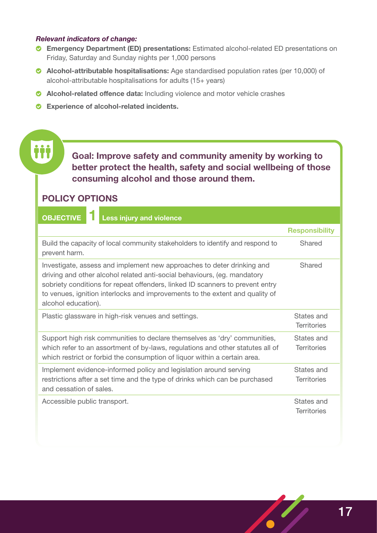### *Relevant indicators of change:*

- **Emergency Department (ED) presentations:** Estimated alcohol-related ED presentations on Friday, Saturday and Sunday nights per 1,000 persons
- **Alcohol-attributable hospitalisations:** Age standardised population rates (per 10,000) of alcohol-attributable hospitalisations for adults (15+ years)
- **Alcohol-related offence data:** Including violence and motor vehicle crashes
- **Experience of alcohol-related incidents.**

**Goal: Improve safety and community amenity by working to better protect the health, safety and social wellbeing of those consuming alcohol and those around them.**

## **POLICY OPTIONS**

| <b>Less injury and violence</b><br><b>OBJECTIVE</b>                                                                                                                                                                                                                                                                                        |                                  |
|--------------------------------------------------------------------------------------------------------------------------------------------------------------------------------------------------------------------------------------------------------------------------------------------------------------------------------------------|----------------------------------|
|                                                                                                                                                                                                                                                                                                                                            | <b>Responsibility</b>            |
| Build the capacity of local community stakeholders to identify and respond to<br>prevent harm.                                                                                                                                                                                                                                             | Shared                           |
| Investigate, assess and implement new approaches to deter drinking and<br>driving and other alcohol related anti-social behaviours, (eg. mandatory<br>sobriety conditions for repeat offenders, linked ID scanners to prevent entry<br>to venues, ignition interlocks and improvements to the extent and quality of<br>alcohol education). | Shared                           |
| Plastic glassware in high-risk venues and settings.                                                                                                                                                                                                                                                                                        | States and<br><b>Territories</b> |
| Support high risk communities to declare themselves as 'dry' communities,<br>which refer to an assortment of by-laws, regulations and other statutes all of<br>which restrict or forbid the consumption of liquor within a certain area.                                                                                                   | States and<br><b>Territories</b> |
| Implement evidence-informed policy and legislation around serving<br>restrictions after a set time and the type of drinks which can be purchased<br>and cessation of sales.                                                                                                                                                                | States and<br><b>Territories</b> |
| Accessible public transport.                                                                                                                                                                                                                                                                                                               | States and<br><b>Territories</b> |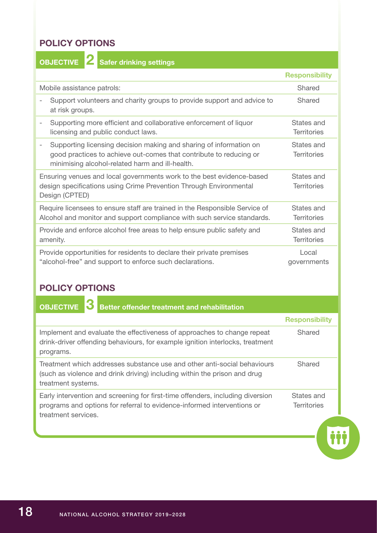## **POLICY OPTIONS**

**OBJECTIVE 2 Safer drinking settings**

|                                                                                                                                                                                                  | <b>Responsibility</b>            |
|--------------------------------------------------------------------------------------------------------------------------------------------------------------------------------------------------|----------------------------------|
| Mobile assistance patrols:                                                                                                                                                                       | Shared                           |
| Support volunteers and charity groups to provide support and advice to<br>at risk groups.                                                                                                        | Shared                           |
| Supporting more efficient and collaborative enforcement of liquor<br>licensing and public conduct laws.                                                                                          | States and<br><b>Territories</b> |
| Supporting licensing decision making and sharing of information on<br>-<br>good practices to achieve out-comes that contribute to reducing or<br>minimising alcohol-related harm and ill-health. | States and<br><b>Territories</b> |
| Ensuring venues and local governments work to the best evidence-based<br>design specifications using Crime Prevention Through Environmental<br>Design (CPTED)                                    | States and<br><b>Territories</b> |
| Require licensees to ensure staff are trained in the Responsible Service of<br>Alcohol and monitor and support compliance with such service standards.                                           | States and<br><b>Territories</b> |
| Provide and enforce alcohol free areas to help ensure public safety and<br>amenity.                                                                                                              | States and<br><b>Territories</b> |
| Provide opportunities for residents to declare their private premises<br>"alcohol-free" and support to enforce such declarations.                                                                | Local<br>governments             |

## **POLICY OPTIONS**

| <b>Better offender treatment and rehabilitation</b><br><b>OBJECTIVE</b>                                                                                                          |                                  |
|----------------------------------------------------------------------------------------------------------------------------------------------------------------------------------|----------------------------------|
|                                                                                                                                                                                  | <b>Responsibility</b>            |
| Implement and evaluate the effectiveness of approaches to change repeat<br>drink-driver offending behaviours, for example ignition interlocks, treatment<br>programs.            | Shared                           |
| Treatment which addresses substance use and other anti-social behaviours<br>(such as violence and drink driving) including within the prison and drug<br>treatment systems.      | Shared                           |
| Early intervention and screening for first-time offenders, including diversion<br>programs and options for referral to evidence-informed interventions or<br>treatment services. | States and<br><b>Territories</b> |
|                                                                                                                                                                                  |                                  |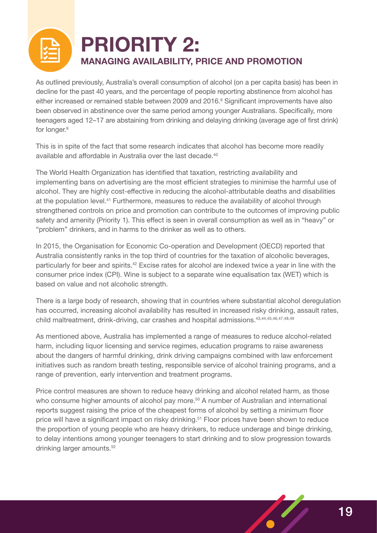

## **PRIORITY 2: MANAGING AVAILABILITY, PRICE AND PROMOTION**

As outlined previously, Australia's overall consumption of alcohol (on a per capita basis) has been in decline for the past 40 years, and the percentage of people reporting abstinence from alcohol has either increased or remained stable between 2009 and 2016.<sup>9</sup> Significant improvements have also been observed in abstinence over the same period among younger Australians. Specifically, more teenagers aged 12–17 are abstaining from drinking and delaying drinking (average age of first drink) for longer.<sup>9</sup>

This is in spite of the fact that some research indicates that alcohol has become more readily available and affordable in Australia over the last decade.<sup>40</sup>

The World Health Organization has identified that taxation, restricting availability and implementing bans on advertising are the most efficient strategies to minimise the harmful use of alcohol. They are highly cost-effective in reducing the alcohol-attributable deaths and disabilities at the population level.41 Furthermore, measures to reduce the availability of alcohol through strengthened controls on price and promotion can contribute to the outcomes of improving public safety and amenity (Priority 1). This effect is seen in overall consumption as well as in "heavy" or "problem" drinkers, and in harms to the drinker as well as to others.

In 2015, the Organisation for Economic Co-operation and Development (OECD) reported that Australia consistently ranks in the top third of countries for the taxation of alcoholic beverages, particularly for beer and spirits.<sup>42</sup> Excise rates for alcohol are indexed twice a year in line with the consumer price index (CPI). Wine is subject to a separate wine equalisation tax (WET) which is based on value and not alcoholic strength.

There is a large body of research, showing that in countries where substantial alcohol deregulation has occurred, increasing alcohol availability has resulted in increased risky drinking, assault rates, child maltreatment, drink-driving, car crashes and hospital admissions.<sup>43,44,45,46,47,48,49</sup>

As mentioned above, Australia has implemented a range of measures to reduce alcohol-related harm, including liquor licensing and service regimes, education programs to raise awareness about the dangers of harmful drinking, drink driving campaigns combined with law enforcement initiatives such as random breath testing, responsible service of alcohol training programs, and a range of prevention, early intervention and treatment programs.

Price control measures are shown to reduce heavy drinking and alcohol related harm, as those who consume higher amounts of alcohol pay more.<sup>50</sup> A number of Australian and international reports suggest raising the price of the cheapest forms of alcohol by setting a minimum floor price will have a significant impact on risky drinking.51 Floor prices have been shown to reduce the proportion of young people who are heavy drinkers, to reduce underage and binge drinking, to delay intentions among younger teenagers to start drinking and to slow progression towards drinking larger amounts.<sup>52</sup>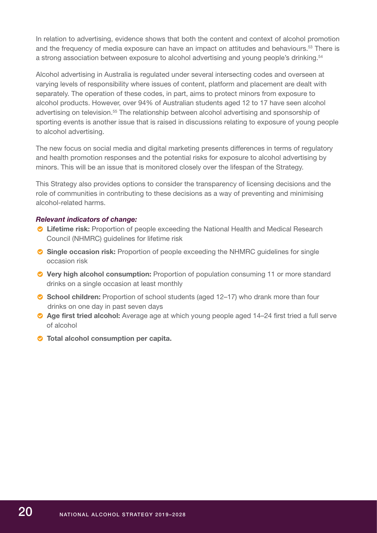In relation to advertising, evidence shows that both the content and context of alcohol promotion and the frequency of media exposure can have an impact on attitudes and behaviours.<sup>53</sup> There is a strong association between exposure to alcohol advertising and young people's drinking.<sup>54</sup>

Alcohol advertising in Australia is regulated under several intersecting codes and overseen at varying levels of responsibility where issues of content, platform and placement are dealt with separately. The operation of these codes, in part, aims to protect minors from exposure to alcohol products. However, over 94% of Australian students aged 12 to 17 have seen alcohol advertising on television.<sup>55</sup> The relationship between alcohol advertising and sponsorship of sporting events is another issue that is raised in discussions relating to exposure of young people to alcohol advertising.

The new focus on social media and digital marketing presents differences in terms of regulatory and health promotion responses and the potential risks for exposure to alcohol advertising by minors. This will be an issue that is monitored closely over the lifespan of the Strategy.

This Strategy also provides options to consider the transparency of licensing decisions and the role of communities in contributing to these decisions as a way of preventing and minimising alcohol-related harms.

### *Relevant indicators of change:*

- **Lifetime risk:** Proportion of people exceeding the National Health and Medical Research Council (NHMRC) guidelines for lifetime risk
- **Single occasion risk:** Proportion of people exceeding the NHMRC guidelines for single occasion risk
- **Very high alcohol consumption:** Proportion of population consuming 11 or more standard drinks on a single occasion at least monthly
- **School children:** Proportion of school students (aged 12–17) who drank more than four drinks on one day in past seven days
- **Age first tried alcohol:** Average age at which young people aged 14–24 first tried a full serve of alcohol
- **Total alcohol consumption per capita.**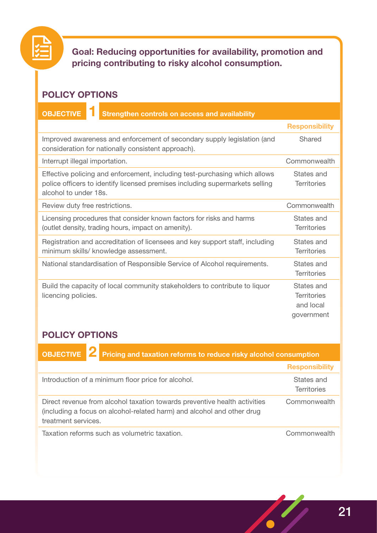

**Goal: Reducing opportunities for availability, promotion and pricing contributing to risky alcohol consumption.**

## **POLICY OPTIONS**

## **OBJECTIVE 1 Strengthen controls on access and availability**

**Responsibility** Improved awareness and enforcement of secondary supply legislation (and consideration for nationally consistent approach). Shared Interrupt illegal importation. The common wealth commonwealth Effective policing and enforcement, including test-purchasing which allows police officers to identify licensed premises including supermarkets selling alcohol to under 18s. States and **Territories** Review duty free restrictions. The common vealth commonwealth Licensing procedures that consider known factors for risks and harms (outlet density, trading hours, impact on amenity). States and **Territories** Registration and accreditation of licensees and key support staff, including minimum skills/ knowledge assessment. States and **Territories** National standardisation of Responsible Service of Alcohol requirements. States and **Territories** Build the capacity of local community stakeholders to contribute to liquor licencing policies. States and **Territories** and local government

## **POLICY OPTIONS**

| OBJECTIVE 2 Pricing and taxation reforms to reduce risky alcohol consumption                                                                                               |                                  |
|----------------------------------------------------------------------------------------------------------------------------------------------------------------------------|----------------------------------|
|                                                                                                                                                                            | <b>Responsibility</b>            |
| Introduction of a minimum floor price for alcohol.                                                                                                                         | States and<br><b>Territories</b> |
| Direct revenue from alcohol taxation towards preventive health activities<br>(including a focus on alcohol-related harm) and alcohol and other drug<br>treatment services. | Commonwealth                     |
| Taxation reforms such as volumetric taxation.                                                                                                                              | Commonwealth                     |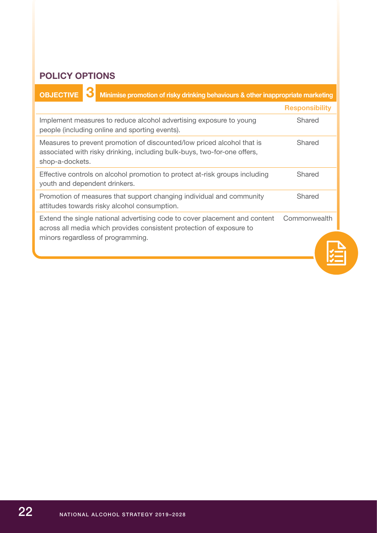## **POLICY OPTIONS**

| <b>OBJECTIVE</b><br>Minimise promotion of risky drinking behaviours & other inappropriate marketing                                                                                     |                       |
|-----------------------------------------------------------------------------------------------------------------------------------------------------------------------------------------|-----------------------|
|                                                                                                                                                                                         | <b>Responsibility</b> |
| Implement measures to reduce alcohol advertising exposure to young<br>people (including online and sporting events).                                                                    | Shared                |
| Measures to prevent promotion of discounted/low priced alcohol that is<br>associated with risky drinking, including bulk-buys, two-for-one offers,<br>shop-a-dockets.                   | Shared                |
| Effective controls on alcohol promotion to protect at-risk groups including<br>youth and dependent drinkers.                                                                            | Shared                |
| Promotion of measures that support changing individual and community<br>attitudes towards risky alcohol consumption.                                                                    | Shared                |
| Extend the single national advertising code to cover placement and content<br>across all media which provides consistent protection of exposure to<br>minors regardless of programming. | Commonwealth          |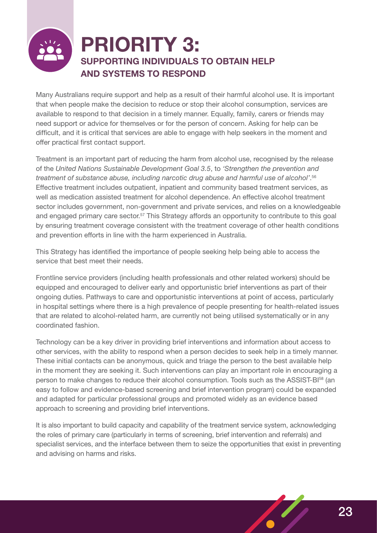# **PRIORITY 3: SUPPORTING INDIVIDUALS TO OBTAIN HELP AND SYSTEMS TO RESPOND**

Many Australians require support and help as a result of their harmful alcohol use. It is important that when people make the decision to reduce or stop their alcohol consumption, services are available to respond to that decision in a timely manner. Equally, family, carers or friends may need support or advice for themselves or for the person of concern. Asking for help can be difficult, and it is critical that services are able to engage with help seekers in the moment and offer practical first contact support.

Treatment is an important part of reducing the harm from alcohol use, recognised by the release of the *United Nations Sustainable Development Goal 3.5*, to *'Strengthen the prevention and treatment of substance abuse, including narcotic drug abuse and harmful use of alcohol'*. 56 Effective treatment includes outpatient, inpatient and community based treatment services, as well as medication assisted treatment for alcohol dependence. An effective alcohol treatment sector includes government, non-government and private services, and relies on a knowledgeable and engaged primary care sector.<sup>57</sup> This Strategy affords an opportunity to contribute to this goal by ensuring treatment coverage consistent with the treatment coverage of other health conditions and prevention efforts in line with the harm experienced in Australia.

This Strategy has identified the importance of people seeking help being able to access the service that best meet their needs.

Frontline service providers (including health professionals and other related workers) should be equipped and encouraged to deliver early and opportunistic brief interventions as part of their ongoing duties. Pathways to care and opportunistic interventions at point of access, particularly in hospital settings where there is a high prevalence of people presenting for health-related issues that are related to alcohol-related harm, are currently not being utilised systematically or in any coordinated fashion.

Technology can be a key driver in providing brief interventions and information about access to other services, with the ability to respond when a person decides to seek help in a timely manner. These initial contacts can be anonymous, quick and triage the person to the best available help in the moment they are seeking it. Such interventions can play an important role in encouraging a person to make changes to reduce their alcohol consumption. Tools such as the ASSIST-BI<sup>58</sup> (an easy to follow and evidence-based screening and brief intervention program) could be expanded and adapted for particular professional groups and promoted widely as an evidence based approach to screening and providing brief interventions.

It is also important to build capacity and capability of the treatment service system, acknowledging the roles of primary care (particularly in terms of screening, brief intervention and referrals) and specialist services, and the interface between them to seize the opportunities that exist in preventing and advising on harms and risks.

23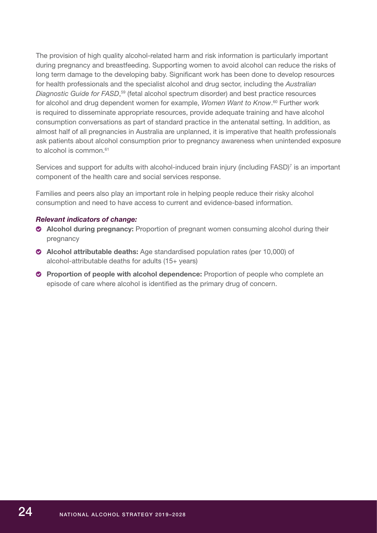The provision of high quality alcohol-related harm and risk information is particularly important during pregnancy and breastfeeding. Supporting women to avoid alcohol can reduce the risks of long term damage to the developing baby. Significant work has been done to develop resources for health professionals and the specialist alcohol and drug sector, including the *Australian Diagnostic Guide for FASD*, 59 (fetal alcohol spectrum disorder) and best practice resources for alcohol and drug dependent women for example, *Women Want to Know*. 60 Further work is required to disseminate appropriate resources, provide adequate training and have alcohol consumption conversations as part of standard practice in the antenatal setting. In addition, as almost half of all pregnancies in Australia are unplanned, it is imperative that health professionals ask patients about alcohol consumption prior to pregnancy awareness when unintended exposure to alcohol is common  $61$ 

Services and support for adults with alcohol-induced brain injury (including FASD)<sup>7</sup> is an important component of the health care and social services response.

Families and peers also play an important role in helping people reduce their risky alcohol consumption and need to have access to current and evidence-based information.

### *Relevant indicators of change:*

- **Alcohol during pregnancy:** Proportion of pregnant women consuming alcohol during their pregnancy
- **Alcohol attributable deaths:** Age standardised population rates (per 10,000) of alcohol-attributable deaths for adults (15+ years)
- **Proportion of people with alcohol dependence:** Proportion of people who complete an episode of care where alcohol is identified as the primary drug of concern.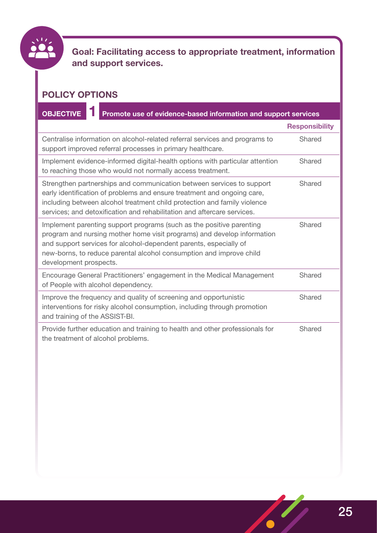

**Goal: Facilitating access to appropriate treatment, information and support services.**

## **POLICY OPTIONS**

**OBJECTIVE 1 Promote use of evidence-based information and support services**

|                                                                                                                                                                                                                                                                                                                       | <b>Responsibility</b> |
|-----------------------------------------------------------------------------------------------------------------------------------------------------------------------------------------------------------------------------------------------------------------------------------------------------------------------|-----------------------|
| Centralise information on alcohol-related referral services and programs to<br>support improved referral processes in primary healthcare.                                                                                                                                                                             | Shared                |
| Implement evidence-informed digital-health options with particular attention<br>to reaching those who would not normally access treatment.                                                                                                                                                                            | Shared                |
| Strengthen partnerships and communication between services to support<br>early identification of problems and ensure treatment and ongoing care,<br>including between alcohol treatment child protection and family violence<br>services; and detoxification and rehabilitation and aftercare services.               | Shared                |
| Implement parenting support programs (such as the positive parenting<br>program and nursing mother home visit programs) and develop information<br>and support services for alcohol-dependent parents, especially of<br>new-borns, to reduce parental alcohol consumption and improve child<br>development prospects. | Shared                |
| Encourage General Practitioners' engagement in the Medical Management<br>of People with alcohol dependency.                                                                                                                                                                                                           | Shared                |
| Improve the frequency and quality of screening and opportunistic<br>interventions for risky alcohol consumption, including through promotion<br>and training of the ASSIST-BI.                                                                                                                                        | Shared                |
| Provide further education and training to health and other professionals for<br>the treatment of alcohol problems.                                                                                                                                                                                                    | Shared                |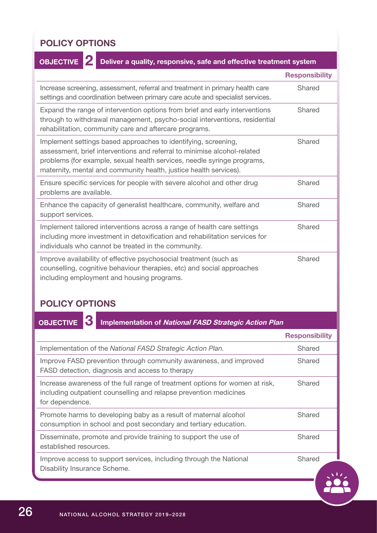## **POLICY OPTIONS**

### **Responsibility** Increase screening, assessment, referral and treatment in primary health care settings and coordination between primary care acute and specialist services. Shared Expand the range of intervention options from brief and early interventions through to withdrawal management, psycho-social interventions, residential rehabilitation, community care and aftercare programs. **Shared** Implement settings based approaches to identifying, screening, assessment, brief interventions and referral to minimise alcohol-related problems (for example, sexual health services, needle syringe programs, maternity, mental and community health, justice health services). Shared Ensure specific services for people with severe alcohol and other drug problems are available. Shared Enhance the capacity of generalist healthcare, community, welfare and support services. Shared **OBJECTIVE 2 Deliver a quality, responsive, safe and effective treatment system**

Implement tailored interventions across a range of health care settings including more investment in detoxification and rehabilitation services for individuals who cannot be treated in the community. Shared

Improve availability of effective psychosocial treatment (such as counselling, cognitive behaviour therapies, etc) and social approaches including employment and housing programs.

## **POLICY OPTIONS**

**3**

**OBJECTIVE** 

**Implementation of National FASD Strategic Action Plan**

Shared

|                                                                                                                                                                      | <b>Responsibility</b> |
|----------------------------------------------------------------------------------------------------------------------------------------------------------------------|-----------------------|
| Implementation of the National FASD Strategic Action Plan.                                                                                                           | Shared                |
| Improve FASD prevention through community awareness, and improved<br>FASD detection, diagnosis and access to therapy                                                 | Shared                |
| Increase awareness of the full range of treatment options for women at risk,<br>including outpatient counselling and relapse prevention medicines<br>for dependence. | Shared                |
| Promote harms to developing baby as a result of maternal alcohol<br>consumption in school and post secondary and tertiary education.                                 | Shared                |
| Disseminate, promote and provide training to support the use of<br>established resources.                                                                            | Shared                |
| Improve access to support services, including through the National<br>Disability Insurance Scheme.                                                                   | Shared                |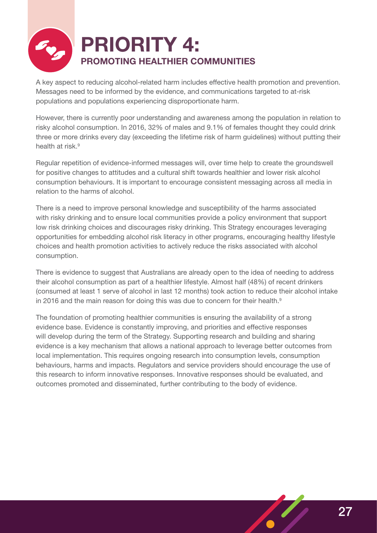

A key aspect to reducing alcohol-related harm includes effective health promotion and prevention. Messages need to be informed by the evidence, and communications targeted to at-risk populations and populations experiencing disproportionate harm.

However, there is currently poor understanding and awareness among the population in relation to risky alcohol consumption. In 2016, 32% of males and 9.1% of females thought they could drink three or more drinks every day (exceeding the lifetime risk of harm guidelines) without putting their health at risk.<sup>9</sup>

Regular repetition of evidence-informed messages will, over time help to create the groundswell for positive changes to attitudes and a cultural shift towards healthier and lower risk alcohol consumption behaviours. It is important to encourage consistent messaging across all media in relation to the harms of alcohol.

There is a need to improve personal knowledge and susceptibility of the harms associated with risky drinking and to ensure local communities provide a policy environment that support low risk drinking choices and discourages risky drinking. This Strategy encourages leveraging opportunities for embedding alcohol risk literacy in other programs, encouraging healthy lifestyle choices and health promotion activities to actively reduce the risks associated with alcohol consumption.

There is evidence to suggest that Australians are already open to the idea of needing to address their alcohol consumption as part of a healthier lifestyle. Almost half (48%) of recent drinkers (consumed at least 1 serve of alcohol in last 12 months) took action to reduce their alcohol intake in 2016 and the main reason for doing this was due to concern for their health.<sup>9</sup>

The foundation of promoting healthier communities is ensuring the availability of a strong evidence base. Evidence is constantly improving, and priorities and effective responses will develop during the term of the Strategy. Supporting research and building and sharing evidence is a key mechanism that allows a national approach to leverage better outcomes from local implementation. This requires ongoing research into consumption levels, consumption behaviours, harms and impacts. Regulators and service providers should encourage the use of this research to inform innovative responses. Innovative responses should be evaluated, and outcomes promoted and disseminated, further contributing to the body of evidence.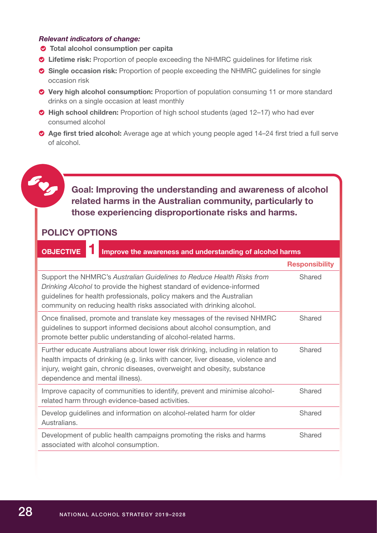### *Relevant indicators of change:*

- **Total alcohol consumption per capita**
- **Lifetime risk:** Proportion of people exceeding the NHMRC guidelines for lifetime risk
- **Single occasion risk:** Proportion of people exceeding the NHMRC guidelines for single occasion risk
- **Very high alcohol consumption:** Proportion of population consuming 11 or more standard drinks on a single occasion at least monthly
- **◆ High school children:** Proportion of high school students (aged 12–17) who had ever consumed alcohol
- **Age first tried alcohol:** Average age at which young people aged 14–24 first tried a full serve of alcohol.

## **Goal: Improving the understanding and awareness of alcohol related harms in the Australian community, particularly to those experiencing disproportionate risks and harms.**

## **POLICY OPTIONS**

| <b>OBJECTIVE</b><br>Improve the awareness and understanding of alcohol harms                                                                                                                                                                                                                    |                       |  |
|-------------------------------------------------------------------------------------------------------------------------------------------------------------------------------------------------------------------------------------------------------------------------------------------------|-----------------------|--|
|                                                                                                                                                                                                                                                                                                 | <b>Responsibility</b> |  |
| Support the NHMRC's Australian Guidelines to Reduce Health Risks from<br>Drinking Alcohol to provide the highest standard of evidence-informed<br>guidelines for health professionals, policy makers and the Australian<br>community on reducing health risks associated with drinking alcohol. | Shared                |  |
| Once finalised, promote and translate key messages of the revised NHMRC<br>guidelines to support informed decisions about alcohol consumption, and<br>promote better public understanding of alcohol-related harms.                                                                             | Shared                |  |
| Further educate Australians about lower risk drinking, including in relation to<br>health impacts of drinking (e.g. links with cancer, liver disease, violence and<br>injury, weight gain, chronic diseases, overweight and obesity, substance<br>dependence and mental illness).               | Shared                |  |
| Improve capacity of communities to identify, prevent and minimise alcohol-<br>related harm through evidence-based activities.                                                                                                                                                                   | Shared                |  |
| Develop guidelines and information on alcohol-related harm for older<br>Australians.                                                                                                                                                                                                            | Shared                |  |
| Development of public health campaigns promoting the risks and harms<br>associated with alcohol consumption.                                                                                                                                                                                    | Shared                |  |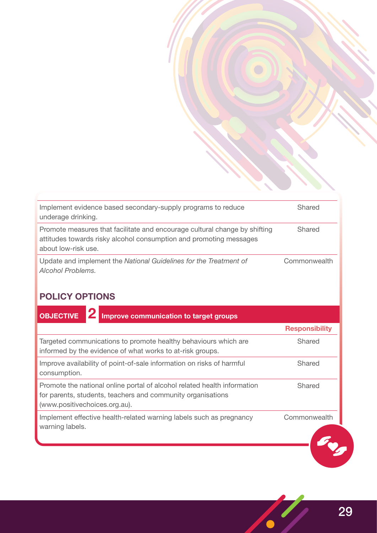| Implement evidence based secondary-supply programs to reduce<br>underage drinking.                                                                                      | Shared       |
|-------------------------------------------------------------------------------------------------------------------------------------------------------------------------|--------------|
| Promote measures that facilitate and encourage cultural change by shifting<br>attitudes towards risky alcohol consumption and promoting messages<br>about low-risk use. | Shared       |
| Update and implement the National Guidelines for the Treatment of<br>Alcohol Problems.                                                                                  | Commonwealth |

## **POLICY OPTIONS**

**OBJECTIVE 2 Improve communication to target groups Responsibility** Targeted communications to promote healthy behaviours which are Shared informed by the evidence of what works to at-risk groups. Improve availability of point-of-sale information on risks of harmful Shared consumption. Promote the national online portal of alcohol related health information Shared for parents, students, teachers and community organisations (www.positivechoices.org.au). Implement effective health-related warning labels such as pregnancy Commonwealthwarning labels. Eng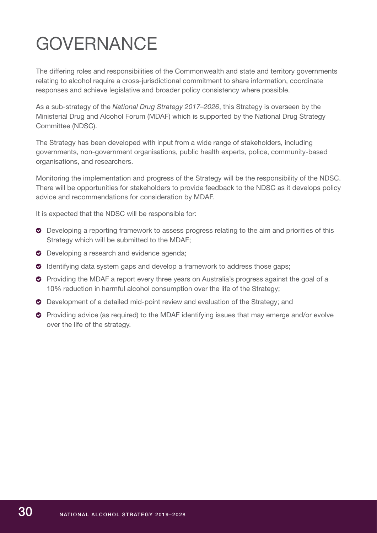# <span id="page-31-0"></span>GOVERNANCE

The differing roles and responsibilities of the Commonwealth and state and territory governments relating to alcohol require a cross-jurisdictional commitment to share information, coordinate responses and achieve legislative and broader policy consistency where possible.

As a sub-strategy of the *National Drug Strategy 2017–2026*, this Strategy is overseen by the Ministerial Drug and Alcohol Forum (MDAF) which is supported by the National Drug Strategy Committee (NDSC).

The Strategy has been developed with input from a wide range of stakeholders, including governments, non-government organisations, public health experts, police, community-based organisations, and researchers.

Monitoring the implementation and progress of the Strategy will be the responsibility of the NDSC. There will be opportunities for stakeholders to provide feedback to the NDSC as it develops policy advice and recommendations for consideration by MDAF.

It is expected that the NDSC will be responsible for:

- **O** Developing a reporting framework to assess progress relating to the aim and priorities of this Strategy which will be submitted to the MDAF;
- **O** Developing a research and evidence agenda;
- **O** Identifying data system gaps and develop a framework to address those gaps;
- **•** Providing the MDAF a report every three years on Australia's progress against the goal of a 10% reduction in harmful alcohol consumption over the life of the Strategy;
- Development of a detailed mid-point review and evaluation of the Strategy; and
- Providing advice (as required) to the MDAF identifying issues that may emerge and/or evolve over the life of the strategy.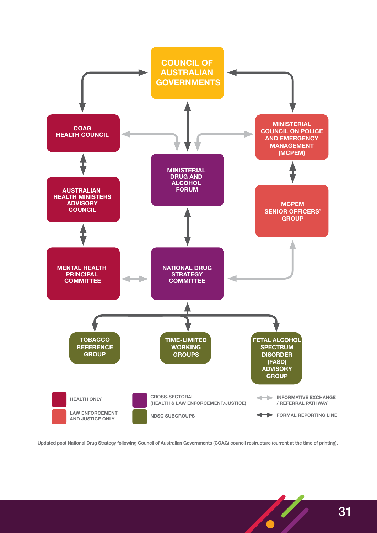

**Updated post National Drug Strategy following Council of Australian Governments (COAG) council restructure (current at the time of printing).**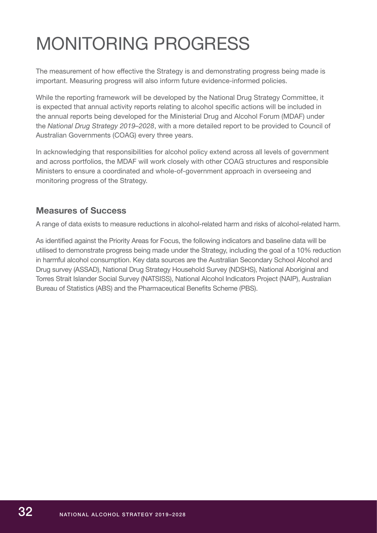# <span id="page-33-0"></span>MONITORING PROGRESS

The measurement of how effective the Strategy is and demonstrating progress being made is important. Measuring progress will also inform future evidence-informed policies.

While the reporting framework will be developed by the National Drug Strategy Committee, it is expected that annual activity reports relating to alcohol specific actions will be included in the annual reports being developed for the Ministerial Drug and Alcohol Forum (MDAF) under the *National Drug Strategy 2019–2028*, with a more detailed report to be provided to Council of Australian Governments (COAG) every three years.

In acknowledging that responsibilities for alcohol policy extend across all levels of government and across portfolios, the MDAF will work closely with other COAG structures and responsible Ministers to ensure a coordinated and whole-of-government approach in overseeing and monitoring progress of the Strategy.

## **Measures of Success**

A range of data exists to measure reductions in alcohol-related harm and risks of alcohol-related harm.

As identified against the Priority Areas for Focus, the following indicators and baseline data will be utilised to demonstrate progress being made under the Strategy, including the goal of a 10% reduction in harmful alcohol consumption. Key data sources are the Australian Secondary School Alcohol and Drug survey (ASSAD), National Drug Strategy Household Survey (NDSHS), National Aboriginal and Torres Strait Islander Social Survey (NATSISS), National Alcohol Indicators Project (NAIP), Australian Bureau of Statistics (ABS) and the Pharmaceutical Benefits Scheme (PBS).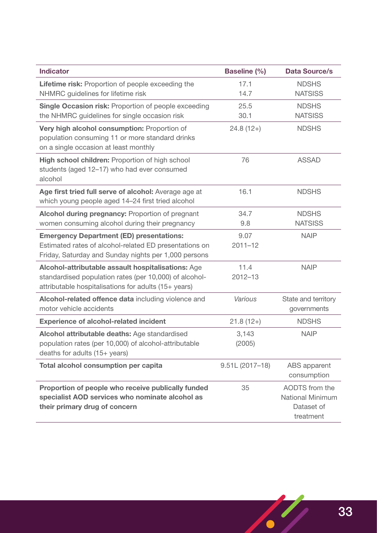| <b>Indicator</b>                                                                                                                                                     | <b>Baseline (%)</b> | <b>Data Source/s</b>                                                 |
|----------------------------------------------------------------------------------------------------------------------------------------------------------------------|---------------------|----------------------------------------------------------------------|
| Lifetime risk: Proportion of people exceeding the<br>NHMRC guidelines for lifetime risk                                                                              | 17.1<br>14.7        | <b>NDSHS</b><br><b>NATSISS</b>                                       |
| Single Occasion risk: Proportion of people exceeding<br>the NHMRC guidelines for single occasion risk                                                                | 25.5<br>30.1        | <b>NDSHS</b><br><b>NATSISS</b>                                       |
| Very high alcohol consumption: Proportion of<br>population consuming 11 or more standard drinks<br>on a single occasion at least monthly                             | $24.8(12+)$         | <b>NDSHS</b>                                                         |
| High school children: Proportion of high school<br>students (aged 12-17) who had ever consumed<br>alcohol                                                            | 76                  | <b>ASSAD</b>                                                         |
| Age first tried full serve of alcohol: Average age at<br>which young people aged 14-24 first tried alcohol                                                           | 16.1                | <b>NDSHS</b>                                                         |
| Alcohol during pregnancy: Proportion of pregnant<br>women consuming alcohol during their pregnancy                                                                   | 34.7<br>9.8         | <b>NDSHS</b><br><b>NATSISS</b>                                       |
| <b>Emergency Department (ED) presentations:</b><br>Estimated rates of alcohol-related ED presentations on<br>Friday, Saturday and Sunday nights per 1,000 persons    | 9.07<br>$2011 - 12$ | <b>NAIP</b>                                                          |
| Alcohol-attributable assault hospitalisations: Age<br>standardised population rates (per 10,000) of alcohol-<br>attributable hospitalisations for adults (15+ years) | 11.4<br>2012-13     | <b>NAIP</b>                                                          |
| Alcohol-related offence data including violence and<br>motor vehicle accidents                                                                                       | Various             | State and territory<br>governments                                   |
| <b>Experience of alcohol-related incident</b>                                                                                                                        | $21.8(12+)$         | <b>NDSHS</b>                                                         |
| Alcohol attributable deaths: Age standardised<br>population rates (per 10,000) of alcohol-attributable<br>deaths for adults (15+ years)                              | 3,143<br>(2005)     | <b>NAIP</b>                                                          |
| <b>Total alcohol consumption per capita</b>                                                                                                                          | $9.51L(2017-18)$    | ABS apparent<br>consumption                                          |
| Proportion of people who receive publically funded<br>specialist AOD services who nominate alcohol as<br>their primary drug of concern                               | 35                  | AODTS from the<br><b>National Minimum</b><br>Dataset of<br>treatment |

 $\left( \begin{array}{c} \prime \end{array} \right)$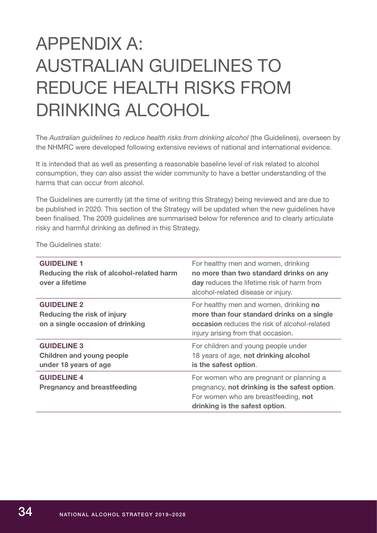# <span id="page-35-0"></span>APPENDIX A: AUSTRALIAN GUIDELINES TO REDUCE HEALTH RISKS FROM DRINKING ALCOHOL

The *Australian guidelines to reduce health risks from drinking alcohol* (the Guidelines), overseen by the NHMRC were developed following extensive reviews of national and international evidence.

It is intended that as well as presenting a reasonable baseline level of risk related to alcohol consumption, they can also assist the wider community to have a better understanding of the harms that can occur from alcohol.

The Guidelines are currently (at the time of writing this Strategy) being reviewed and are due to be published in 2020. This section of the Strategy will be updated when the new guidelines have been finalised. The 2009 guidelines are summarised below for reference and to clearly articulate risky and harmful drinking as defined in this Strategy.

| The Guidelines state: |  |
|-----------------------|--|
|-----------------------|--|

| <b>GUIDELINE 1</b><br>Reducing the risk of alcohol-related harm<br>over a lifetime    | For healthy men and women, drinking<br>no more than two standard drinks on any<br><b>day</b> reduces the lifetime risk of harm from<br>alcohol-related disease or injury.         |
|---------------------------------------------------------------------------------------|-----------------------------------------------------------------------------------------------------------------------------------------------------------------------------------|
| <b>GUIDELINE 2</b><br>Reducing the risk of injury<br>on a single occasion of drinking | For healthy men and women, drinking no<br>more than four standard drinks on a single<br><b>occasion</b> reduces the risk of alcohol-related<br>injury arising from that occasion. |
| <b>GUIDELINE 3</b><br><b>Children and young people</b><br>under 18 years of age       | For children and young people under<br>18 years of age, not drinking alcohol<br>is the safest option.                                                                             |
| <b>GUIDELINE 4</b><br><b>Pregnancy and breastfeeding</b>                              | For women who are pregnant or planning a<br>pregnancy, not drinking is the safest option.<br>For women who are breastfeeding, not<br>drinking is the safest option.               |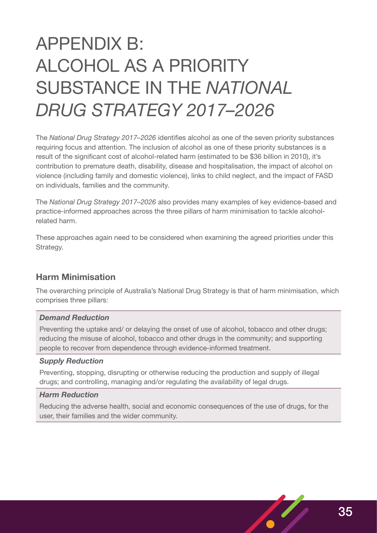# <span id="page-36-0"></span>APPENDIX B: ALCOHOL AS A PRIORITY SUBSTANCE IN THE *NATIONAL DRUG STRATEGY 2017–2026*

The *National Drug Strategy 2017–2026* identifies alcohol as one of the seven priority substances requiring focus and attention. The inclusion of alcohol as one of these priority substances is a result of the significant cost of alcohol-related harm (estimated to be \$36 billion in 2010), it's contribution to premature death, disability, disease and hospitalisation, the impact of alcohol on violence (including family and domestic violence), links to child neglect, and the impact of FASD on individuals, families and the community.

The *National Drug Strategy 2017–2026* also provides many examples of key evidence-based and practice-informed approaches across the three pillars of harm minimisation to tackle alcoholrelated harm.

These approaches again need to be considered when examining the agreed priorities under this Strategy.

## **Harm Minimisation**

The overarching principle of Australia's National Drug Strategy is that of harm minimisation, which comprises three pillars:

## *Demand Reduction*

Preventing the uptake and/ or delaying the onset of use of alcohol, tobacco and other drugs; reducing the misuse of alcohol, tobacco and other drugs in the community; and supporting people to recover from dependence through evidence-informed treatment.

### *Supply Reduction*

Preventing, stopping, disrupting or otherwise reducing the production and supply of illegal drugs; and controlling, managing and/or regulating the availability of legal drugs.

### *Harm Reduction*

Reducing the adverse health, social and economic consequences of the use of drugs, for the user, their families and the wider community.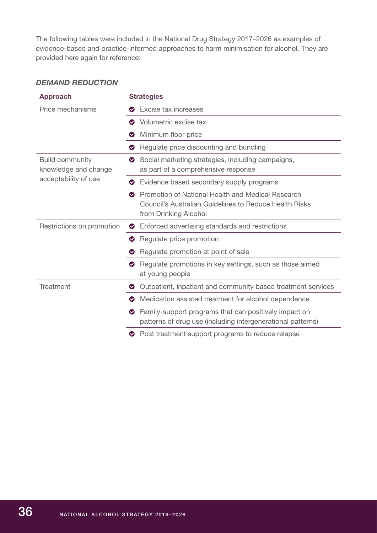The following tables were included in the National Drug Strategy 2017–2026 as examples of evidence-based and practice-informed approaches to harm minimisation for alcohol. They are provided here again for reference:

## *DEMAND REDUCTION*

| <b>Approach</b>                                                        | <b>Strategies</b>                                                                                                                                        |
|------------------------------------------------------------------------|----------------------------------------------------------------------------------------------------------------------------------------------------------|
| Price mechanisms                                                       | Excise tax increases<br>Ø                                                                                                                                |
|                                                                        | Volumetric excise tax<br>◎                                                                                                                               |
|                                                                        | Minimum floor price<br>Ø                                                                                                                                 |
|                                                                        | Regulate price discounting and bundling<br>Ø                                                                                                             |
| <b>Build community</b><br>knowledge and change<br>acceptability of use | Social marketing strategies, including campaigns,<br>$\bullet$<br>as part of a comprehensive response                                                    |
|                                                                        | <b>O</b> Evidence based secondary supply programs                                                                                                        |
|                                                                        | Promotion of National Health and Medical Research<br>$\bullet$<br><b>Council's Australian Guidelines to Reduce Health Risks</b><br>from Drinking Alcohol |
| Restrictions on promotion                                              | Enforced advertising standards and restrictions<br>$\bullet$                                                                                             |
|                                                                        | Regulate price promotion<br>$\bullet$                                                                                                                    |
|                                                                        | Regulate promotion at point of sale                                                                                                                      |
|                                                                        | Regulate promotions in key settings, such as those aimed<br>at young people                                                                              |
| <b>Treatment</b>                                                       | Outpatient, inpatient and community based treatment services<br>$\bullet$                                                                                |
|                                                                        | Medication assisted treatment for alcohol dependence<br>◎                                                                                                |
|                                                                        | Family-support programs that can positively impact on<br>$\bullet$<br>patterns of drug use (including intergenerational patterns)                        |
|                                                                        | Post treatment support programs to reduce relapse                                                                                                        |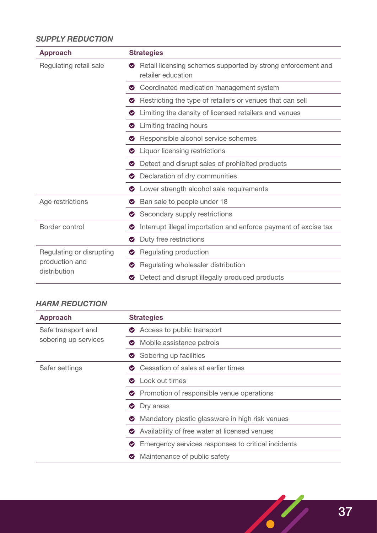## *SUPPLY REDUCTION*

| <b>Approach</b>                                            | <b>Strategies</b>                                                                       |
|------------------------------------------------------------|-----------------------------------------------------------------------------------------|
| Regulating retail sale                                     | Retail licensing schemes supported by strong enforcement and<br>Ø<br>retailer education |
|                                                            | <b>◆</b> Coordinated medication management system                                       |
|                                                            | Restricting the type of retailers or venues that can sell                               |
|                                                            | Limiting the density of licensed retailers and venues                                   |
|                                                            | <b>O</b> Limiting trading hours                                                         |
|                                                            | Responsible alcohol service schemes                                                     |
|                                                            | <b>O</b> Liquor licensing restrictions                                                  |
|                                                            | ◆ Detect and disrupt sales of prohibited products                                       |
|                                                            | • Declaration of dry communities                                                        |
|                                                            | Lower strength alcohol sale requirements<br>❤                                           |
| Age restrictions                                           | Ban sale to people under 18                                                             |
|                                                            | Secondary supply restrictions<br>❤                                                      |
| Border control                                             | Interrupt illegal importation and enforce payment of excise tax<br>Ø                    |
|                                                            | Duty free restrictions<br>$\bullet$                                                     |
| Regulating or disrupting<br>production and<br>distribution | Regulating production                                                                   |
|                                                            | Regulating wholesaler distribution<br>◎                                                 |
|                                                            | Detect and disrupt illegally produced products<br>◎                                     |

## *HARM REDUCTION*

| <b>Approach</b>                            | <b>Strategies</b>                                            |
|--------------------------------------------|--------------------------------------------------------------|
| Safe transport and<br>sobering up services | Access to public transport<br>Ø                              |
|                                            | • Mobile assistance patrols                                  |
|                                            | Sobering up facilities<br>Ø                                  |
| Safer settings                             | <b>◯</b> Cessation of sales at earlier times                 |
|                                            | <b>O</b> Lock out times                                      |
|                                            | • Promotion of responsible venue operations                  |
|                                            | Dry areas<br>Ø                                               |
|                                            | Mandatory plastic glassware in high risk venues<br>$\bullet$ |
|                                            | Availability of free water at licensed venues<br>Ø           |
|                                            | Emergency services responses to critical incidents           |
|                                            | Maintenance of public safety<br>Ø                            |

 $\epsilon$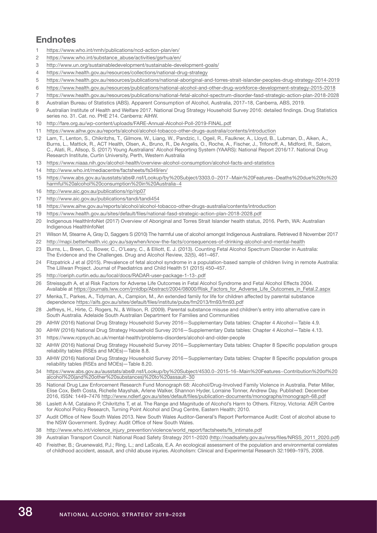## **Endnotes**

- <https://www.who.int/nmh/publications/ncd-action-plan/en/>
- [https://www.who.int/substance\\_abuse/activities/gsrhua/en/](https://www.who.int/substance_abuse/activities/gsrhua/en/)
- <http://www.un.org/sustainabledevelopment/sustainable-development-goals/>
- <https://www.health.gov.au/resources/collections/national-drug-strategy>
- [https://www.health.gov.au/resources/publications/national-aboriginal-and-torres-strait-islander-peoples-drug-strategy-2014-2019](https://www.health.gov.au/resources/publications/national-aboriginal-and-torres-strait-islander-peop)
- [https://www.health.gov.au/resources/publications/national-alcohol-and-other-drug-workforce-development-strategy-2015-2018](https://www.health.gov.au/resources/publications/national-alcohol-and-other-drug-workforce-developme)
- [https://www.health.gov.au/resources/publications/national-fetal-alcohol-spectrum-disorder-fasd-strategic-action-plan-2018-2028](https://www.health.gov.au/resources/publications/national-fetal-alcohol-spectrum-disorder-fasd-strat)
- Australian Bureau of Statistics (ABS). Apparent Consumption of Alcohol, Australia, 2017–18, Canberra, ABS, 2019.
- Australian Institute of Health and Welfare 2017. National Drug Strategy Household Survey 2016: detailed findings. Drug Statistics series no. 31. Cat. no. PHE 214. Canberra: AIHW.
- <http://fare.org.au/wp-content/uploads/FARE-Annual-Alcohol-Poll-2019-FINAL.pdf>
- <https://www.aihw.gov.au/reports/alcohol/alcohol-tobacco-other-drugs-australia/contents/introduction>
- Lam, T., Lenton, S., Chikritzhs, T., Gilmore, W., Liang, W., Pandzic, I., Ogeil, R., Faulkner, A., Lloyd, B., Lubman, D., Aiken, A., Burns, L., Mattick, R., ACT Health, Olsen, A., Bruno, R., De Angelis, O., Roche, A., Fischer, J., Trifonoff, A., Midford, R., Salom, C., Alati, R., Allsop, S. (2017) Young Australians' Alcohol Reporting System (YAARS): National Report 2016/17. National Drug Research Institute, Curtin University, Perth, Western Australia
- <https://www.niaaa.nih.gov/alcohol-health/overview-alcohol-consumption/alcohol-facts-and-statistics>
- <http://www.who.int/mediacentre/factsheets/fs349/en/>
- [https://www.abs.gov.au/ausstats/abs@.nsf/Lookup/by%20Subject/3303.0~2017~Main%20Features~Deaths%20due%20to%20](https://www.abs.gov.au/ausstats/abs@.nsf/Lookup/by%20Subject/3303.0~2017~Main%20Features~Deaths%20due%20to%20harmful%20alcohol%20consumption%20in%20Australia~4) [harmful%20alcohol%20consumption%20in%20Australia~4](https://www.abs.gov.au/ausstats/abs@.nsf/Lookup/by%20Subject/3303.0~2017~Main%20Features~Deaths%20due%20to%20harmful%20alcohol%20consumption%20in%20Australia~4)
- <http://www.aic.gov.au/publications/rip/rip07>
- <http://www.aic.gov.au/publications/tandi/tandi454>
- <https://www.aihw.gov.au/reports/alcohol/alcohol-tobacco-other-drugs-australia/contents/introduction>
- <https://www.health.gov.au/sites/default/files/national-fasd-strategic-action-plan-2018-2028.pdf>
- Indigenous HealthInfoNet (2017) Overview of Aboriginal and Torres Strait Islander health status, 2016. Perth, WA: Australian Indigenous HealthInfoNet
- Wilson M, Stearne A, Gray D, Saggers S (2010) The harmful use of alcohol amongst Indigenous Australians. Retrieved 8 November 2017
- [http://mapi.betterhealth.vic.gov.au/saywhen/know-the-facts/consequences-of-drinking-alcohol-and-mental-health](http://mapi.betterhealth.vic.gov.au/saywhen/know-the-facts/consequences-of-drinking-alcohol-and-ment)
- Burns, L., Breen, C., Bower, C., O'Leary, C., & Elliott, E. J. (2013). Counting Fetal Alcohol Spectrum Disorder in Australia: The Evidence and the Challenges. Drug and Alcohol Review, 32(5), 461–467.
- Fitzpatrick J et al (2015). Prevalence of fetal alcohol syndrome in a population-based sample of children living in remote Australia: The Lililwan Project. Journal of Paediatrics and Child Health 51 (2015) 450–457.
- <http://ceriph.curtin.edu.au/local/docs/RADAR-user-package-1-13-.pdf>
- Streissguth A, et al Risk Factors for Adverse Life Outcomes in Fetal Alcohol Syndrome and Fetal Alcohol Effects 2004. Available at [https://journals.lww.com/jrnldbp/Abstract/2004/08000/Risk\\_Factors\\_for\\_Adverse\\_Life\\_Outcomes\\_in\\_Fetal.2.aspx](https://journals.lww.com/jrnldbp/Abstract/2004/08000/Risk_Factors_for_Adverse_Life_Outcomes_in_Fetal)
- Menka,T., Parkes, A., Tidyman, A., Campion, M., An extended family for life for children affected by parental substance dependence <https://aifs.gov.au/sites/default/files/institute/pubs/fm2013/fm93/fm93.pdf>
- Jeffreys, H., Hirte, C. Rogers, N., & Wilson, R. (2009). Parental substance misuse and children's entry into alternative care in South Australia. Adelaide South Australian Department for Families and Communities
- AIHW (2016) National Drug Strategy Household Survey 2016—Supplementary Data tables: Chapter 4 Alcohol—Table 4.9.
- AIHW (2016) National Drug Strategy Household Survey 2016—Supplementary Data tables: Chapter 4 Alcohol—Table 4.13.
- https://www.rcpsych.ac.uk/mental-health/problems-disorders/alcohol-and-older-people
- AIHW (2016) National Drug Strategy Household Survey 2016—Supplementary Data tables: Chapter 8 Specific population groups reliability tables (RSEs and MOEs)—Table 8.8.
- AIHW (2016) National Drug Strategy Household Survey 2016—Supplementary Data tables: Chapter 8 Specific population groups reliability tables (RSEs and MOEs)—Table 8.20.
- [https://www.abs.gov.au/ausstats/abs@.nsf/Lookup/by%20Subject/4530.0~2015-16~Main%20Features~Contribution%20of%20](https://www.abs.gov.au/ausstats/abs@.nsf/Lookup/by%20Subject/4530.0~2015-16~Main%20Features~Contribution%20of%20alcohol%20(and%20other%20substances)%20to%20assault~30) [alcohol%20\(and%20other%20substances\)%20to%20assault~30](https://www.abs.gov.au/ausstats/abs@.nsf/Lookup/by%20Subject/4530.0~2015-16~Main%20Features~Contribution%20of%20alcohol%20(and%20other%20substances)%20to%20assault~30)
- National Drug Law Enforcement Research Fund Monograph 68: Alcohol/Drug-Involved Family Violence in Australia. Peter Miller, Elise Cox, Beth Costa, Richelle Mayshak, Arlene Walker, Shannon Hyder, Lorraine Tonner, Andrew Day. Published: December 2016, ISSN: 1449–7476<http://www.ndlerf.gov.au/sites/default/files/publication-documents/monographs/monograph-68.pdf>
- Laslett A-M, Catalano P, Chikritzhs T, et al. The Range and Magnitude of Alcohol's Harm to Others. Fitzroy, Victoria: AER Centre for Alcohol Policy Research, Turning Point Alcohol and Drug Centre, Eastern Health; 2010.
- Audit Office of New South Wales 2013. New South Wales Auditor-General's Report Performance Audit: Cost of alcohol abuse to the NSW Government. Sydney: Audit Office of New South Wales.
- [http://www.who.int/violence\\_injury\\_prevention/violence/world\\_report/factsheets/fs\\_intimate.pdf](http://www.who.int/violence_injury_prevention/violence/world_report/factsheets/fs_intimate.pdf)
- Australian Transport Council: National Road Safety Strategy 2011–2020 [\(http://roadsafety.gov.au/nrss/files/NRSS\\_2011\\_2020.pdf](http://roadsafety.gov.au/nrss/files/NRSS_2011_2020.pdf))
- Freisther, B.; Gruenewald, P.J.; Ring, L.; and LaScala, E.A. An ecological assessment of the population and environmental correlates of childhood accident, assault, and child abuse injuries. Alcoholism: Clinical and Experimental Research 32:1969–1975, 2008.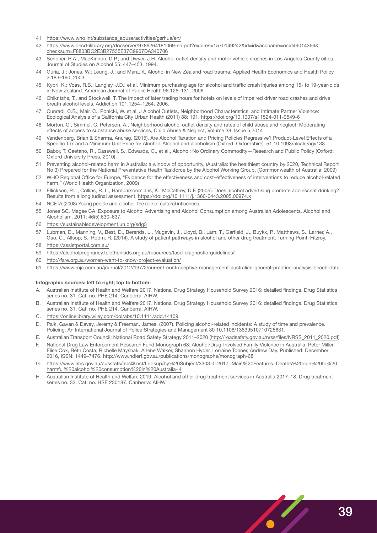- 41 [https://www.who.int/substance\\_abuse/activities/gsrhua/en/](https://www.who.int/substance_abuse/activities/gsrhua/en/)
- 42 [https://www.oecd-ilibrary.org/docserver/9789264181069-en.pdf?expires=1570149242&id=id&accname=ocid49014366&](https://www.oecd-ilibrary.org/docserver/9789264181069-en.pdf?expires=1570149242&id=id&accname=ocid49) [checksum=F8803BC2E3B27535E37C9907DA340706](https://www.oecd-ilibrary.org/docserver/9789264181069-en.pdf?expires=1570149242&id=id&accname=ocid49)
- 43 Scribner, R.A.; MacKinnon, D.P.; and Dwyer, J.H. Alcohol outlet density and motor vehicle crashes in Los Angeles County cities. Journal of Studies on Alcohol 55: 447–453, 1994.
- 44 Guria, J.; Jones, W.; Leung, J.; and Mara, K. Alcohol in New Zealand road trauma. Applied Health Economics and Health Policy 2:183–190, 2003.
- 45 Kypri, K.; Voas, R.B.; Langley, J.D.; et al. Minimum purchasing age for alcohol and traffic crash injuries among 15- to 19-year-olds in New Zealand. American Journal of Public Health 96:126–131, 2006.
- 46 Chikritzhs, T., and Stockwell, T. The impact of later trading hours for hotels on levels of impaired driver road crashes and drive breath alcohol levels. Addiction 101:1254–1264, 2006.
- 47 Cunradi, C.B., Mair, C., Ponicki, W. et al. J Alcohol Outlets, Neighborhood Characteristics, and Intimate Partner Violence: Ecological Analysis of a California City Urban Health (2011) 88: 191.<https://doi.org/10.1007/s11524-011-9549-6>
- 48 Morton, C., Simmel, C. Peterson, A., Neighborhood alcohol outlet density and rates of child abuse and neglect: Moderating effects of access to substance abuse services, Child Abuse & Neglect, Volume 38, Issue 5,2014
- 49 Vandenberg, Brian & Sharma, Anurag. (2015). Are Alcohol Taxation and Pricing Policies Regressive? Product-Level Effects of a Specific Tax and a Minimum Unit Price for Alcohol. Alcohol and alcoholism (Oxford, Oxfordshire). 51.10.1093/alcalc/agv133.
- 50 Babor, T. Caetano, R., Casswell, S., Edwards, G., et al., Alcohol: No Ordinary Commodity—Research and Public Policy (Oxford: Oxford University Press, 2010).
- 51 Preventing alcohol–related harm in Australia: a window of opportunity, (Australia: the healthiest country by 2020, Technical Report No 3) Prepared for the National Preventative Health Taskforce by the Alcohol Working Group, (Commonwealth of Australia: 2009)
- 52 WHO Regional Office for Europe, "Evidence for the effectiveness and cost–effectiveness of interventions to reduce alcohol-related harm," (World Health Organization, 2009)
- 53 Ellickson, P.L., Collins, R. L., Hambarsoomians, K., McCaffrey, D.F. (2005). Does alcohol advertising promote adolescent drinking? Results from a longitudinal assessment.<https://doi.org/10.1111/j.1360-0443.2005.00974.x>
- 54 NCETA (2008) Young people and alcohol: the role of cultural influences.
- 55 Jones SC, Magee CA. Exposure to Alcohol Advertising and Alcohol Consumption among Australian Adolescents. Alcohol and Alcoholism. 2011; 46(5):630–637.
- 56 <https://sustainabledevelopment.un.org/sdg3>
- 57 Lubman, D., Manning, V., Best, D., Berends, L., Mugavin, J., Lloyd, B., Lam, T., Garfield, J., Buykx, P., Matthews, S., Larner, A., Gao, C., Allsop, S., Room, R. (2014). A study of patient pathways in alcohol and other drug treatment. Turning Point, Fitzroy.
- 58 <https://assistportal.com.au/>
- 59 <https://alcoholpregnancy.telethonkids.org.au/resources/fasd-diagnostic-guidelines/>
- 60 <http://fare.org.au/women-want-to-know-project-evaluation/>
- 61 [https://www.mja.com.au/journal/2012/197/2/current-contraceptive-management-australian-general-practice-analysis-beach-data](https://www.mja.com.au/journal/2012/197/2/current-contraceptive-management-australian-general-practi)

#### **Infographic sources: left to right; top to bottom:**

- A. Australian Institute of Health and Welfare 2017. National Drug Strategy Household Survey 2016: detailed findings. Drug Statistics series no. 31. Cat. no. PHE 214. Canberra: AIHW.
- B. Australian Institute of Health and Welfare 2017. National Drug Strategy Household Survey 2016: detailed findings. Drug Statistics series no. 31. Cat. no. PHE 214. Canberra: AIHW.
- C. <https://onlinelibrary.wiley.com/doi/abs/10.1111/add.14109>
- D. Palk, Gavan & Davey, Jeremy & Freeman, James. (2007). Policing alcohol-related incidents: A study of time and prevalence. Policing: An International Journal of Police Strategies and Management 30 10.1108/13639510710725631.
- E. Australian Transport Council: National Road Safety Strategy 2011–2020 [\(http://roadsafety.gov.au/nrss/files/NRSS\\_2011\\_2020.pdf](http://roadsafety.gov.au/nrss/files/NRSS_2011_2020.pdf))
- F. National Drug Law Enforcement Research Fund Monograph 68: Alcohol/Drug-Involved Family Violence in Australia. Peter Miller, Elise Cox, Beth Costa, Richelle Mayshak, Arlene Walker, Shannon Hyder, Lorraine Tonner, Andrew Day. Published: December 2016, ISSN: 1449–7476. http://www.ndlerf.gov.au/publications/monographs/monograph-68
- G. [https://www.abs.gov.au/ausstats/abs@.nsf/Lookup/by%20Subject/3303.0~2017~Main%20Features~Deaths%20due%20to%20](https://www.abs.gov.au/ausstats/abs@.nsf/Lookup/by%20Subject/3303.0~2017~Main%20Features~Deaths%20due%20to%20harmful%20alcohol%20consumption%20in%20Australia~4) [harmful%20alcohol%20consumption%20in%20Australia~4](https://www.abs.gov.au/ausstats/abs@.nsf/Lookup/by%20Subject/3303.0~2017~Main%20Features~Deaths%20due%20to%20harmful%20alcohol%20consumption%20in%20Australia~4)
- H. Australian Institute of Health and Welfare 2019. Alcohol and other drug treatment services in Australia 2017–18. Drug treatment series no. 33. Cat. no. HSE 230187. Canberra: AIHW

 $\mathcal{U}_{\ell}$